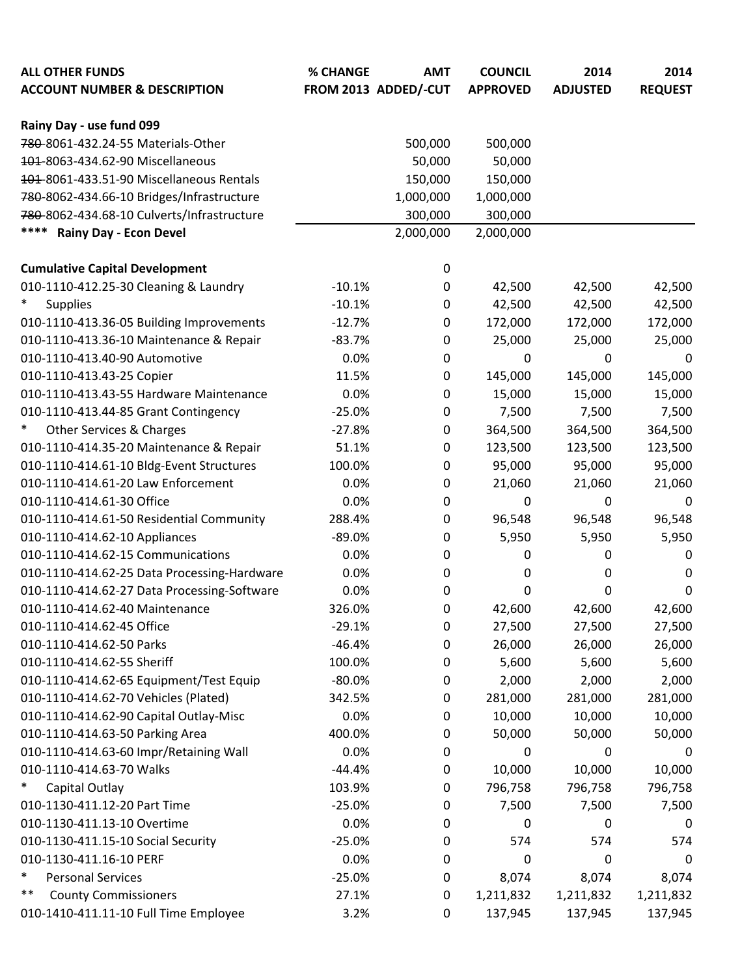| <b>ALL OTHER FUNDS</b><br><b>ACCOUNT NUMBER &amp; DESCRIPTION</b> | % CHANGE | <b>AMT</b><br>FROM 2013 ADDED/-CUT | <b>COUNCIL</b><br><b>APPROVED</b> | 2014<br><b>ADJUSTED</b> | 2014<br><b>REQUEST</b> |
|-------------------------------------------------------------------|----------|------------------------------------|-----------------------------------|-------------------------|------------------------|
| Rainy Day - use fund 099                                          |          |                                    |                                   |                         |                        |
| 780-8061-432.24-55 Materials-Other                                |          | 500,000                            | 500,000                           |                         |                        |
| 404-8063-434.62-90 Miscellaneous                                  |          | 50,000                             | 50,000                            |                         |                        |
| 404-8061-433.51-90 Miscellaneous Rentals                          |          | 150,000                            | 150,000                           |                         |                        |
| 780-8062-434.66-10 Bridges/Infrastructure                         |          | 1,000,000                          | 1,000,000                         |                         |                        |
| 780-8062-434.68-10 Culverts/Infrastructure                        |          | 300,000                            | 300,000                           |                         |                        |
| ****<br><b>Rainy Day - Econ Devel</b>                             |          | 2,000,000                          | 2,000,000                         |                         |                        |
|                                                                   |          |                                    |                                   |                         |                        |
| <b>Cumulative Capital Development</b>                             |          | 0                                  |                                   |                         |                        |
| 010-1110-412.25-30 Cleaning & Laundry<br>$\ast$                   | $-10.1%$ | 0                                  | 42,500                            | 42,500                  | 42,500                 |
| <b>Supplies</b>                                                   | $-10.1%$ | 0                                  | 42,500                            | 42,500                  | 42,500                 |
| 010-1110-413.36-05 Building Improvements                          | $-12.7%$ | 0                                  | 172,000                           | 172,000                 | 172,000                |
| 010-1110-413.36-10 Maintenance & Repair                           | $-83.7%$ | 0                                  | 25,000                            | 25,000                  | 25,000                 |
| 010-1110-413.40-90 Automotive                                     | 0.0%     | $\mathbf 0$                        | $\pmb{0}$                         | 0                       | 0                      |
| 010-1110-413.43-25 Copier                                         | 11.5%    | 0                                  | 145,000                           | 145,000                 | 145,000                |
| 010-1110-413.43-55 Hardware Maintenance                           | 0.0%     | 0                                  | 15,000                            | 15,000                  | 15,000                 |
| 010-1110-413.44-85 Grant Contingency<br>$\ast$                    | $-25.0%$ | 0                                  | 7,500                             | 7,500                   | 7,500                  |
| Other Services & Charges                                          | $-27.8%$ | $\mathbf 0$                        | 364,500                           | 364,500                 | 364,500                |
| 010-1110-414.35-20 Maintenance & Repair                           | 51.1%    | 0                                  | 123,500                           | 123,500                 | 123,500                |
| 010-1110-414.61-10 Bldg-Event Structures                          | 100.0%   | 0                                  | 95,000                            | 95,000                  | 95,000                 |
| 010-1110-414.61-20 Law Enforcement                                | 0.0%     | 0                                  | 21,060                            | 21,060                  | 21,060                 |
| 010-1110-414.61-30 Office                                         | 0.0%     | 0                                  | 0                                 | 0                       | 0                      |
| 010-1110-414.61-50 Residential Community                          | 288.4%   | $\mathbf 0$                        | 96,548                            | 96,548                  | 96,548                 |
| 010-1110-414.62-10 Appliances                                     | $-89.0%$ | 0                                  | 5,950                             | 5,950                   | 5,950                  |
| 010-1110-414.62-15 Communications                                 | 0.0%     | 0                                  | 0                                 | 0                       | 0                      |
| 010-1110-414.62-25 Data Processing-Hardware                       | 0.0%     | 0                                  | 0                                 | 0                       | 0                      |
| 010-1110-414.62-27 Data Processing-Software                       | 0.0%     | 0                                  | 0                                 | 0                       | 0                      |
| 010-1110-414.62-40 Maintenance                                    | 326.0%   | 0                                  | 42,600                            | 42,600                  | 42,600                 |
| 010-1110-414.62-45 Office                                         | $-29.1%$ | 0                                  | 27,500                            | 27,500                  | 27,500                 |
| 010-1110-414.62-50 Parks                                          | $-46.4%$ | 0                                  | 26,000                            | 26,000                  | 26,000                 |
| 010-1110-414.62-55 Sheriff                                        | 100.0%   | 0                                  | 5,600                             | 5,600                   | 5,600                  |
| 010-1110-414.62-65 Equipment/Test Equip                           | $-80.0%$ | 0                                  | 2,000                             | 2,000                   | 2,000                  |
| 010-1110-414.62-70 Vehicles (Plated)                              | 342.5%   | 0                                  | 281,000                           | 281,000                 | 281,000                |
| 010-1110-414.62-90 Capital Outlay-Misc                            | 0.0%     | 0                                  | 10,000                            | 10,000                  | 10,000                 |
| 010-1110-414.63-50 Parking Area                                   | 400.0%   | 0                                  | 50,000                            | 50,000                  | 50,000                 |
| 010-1110-414.63-60 Impr/Retaining Wall                            | 0.0%     | 0                                  | 0                                 | 0                       | 0                      |
| 010-1110-414.63-70 Walks                                          | $-44.4%$ | 0                                  | 10,000                            | 10,000                  | 10,000                 |
| *<br>Capital Outlay                                               | 103.9%   | $\mathbf 0$                        | 796,758                           | 796,758                 | 796,758                |
| 010-1130-411.12-20 Part Time                                      | $-25.0%$ | 0                                  | 7,500                             | 7,500                   | 7,500                  |
| 010-1130-411.13-10 Overtime                                       | 0.0%     | 0                                  | $\mathbf 0$                       | 0                       | 0                      |
| 010-1130-411.15-10 Social Security                                | $-25.0%$ | 0                                  | 574                               | 574                     | 574                    |
| 010-1130-411.16-10 PERF                                           | 0.0%     | 0                                  | 0                                 | 0                       | 0                      |
| $\ast$<br><b>Personal Services</b>                                | $-25.0%$ | 0                                  | 8,074                             | 8,074                   | 8,074                  |
| $***$<br><b>County Commissioners</b>                              | 27.1%    | 0                                  | 1,211,832                         | 1,211,832               | 1,211,832              |
| 010-1410-411.11-10 Full Time Employee                             | 3.2%     | $\mathbf 0$                        | 137,945                           | 137,945                 | 137,945                |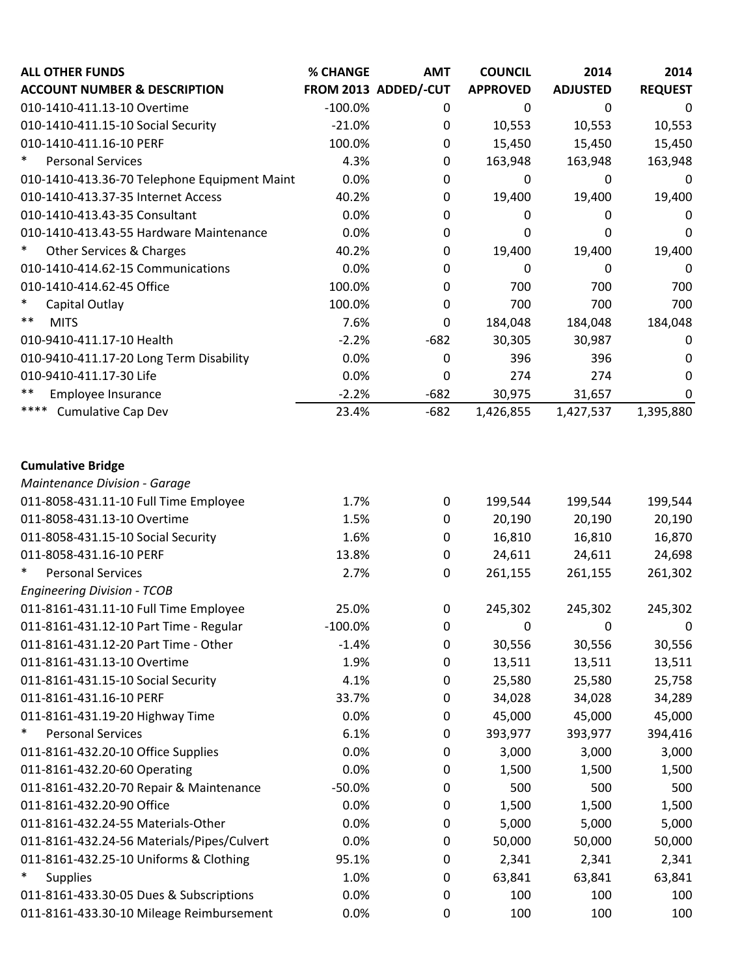| <b>ALL OTHER FUNDS</b>                       | % CHANGE  | <b>AMT</b>           | <b>COUNCIL</b>  | 2014            | 2014           |
|----------------------------------------------|-----------|----------------------|-----------------|-----------------|----------------|
| <b>ACCOUNT NUMBER &amp; DESCRIPTION</b>      |           | FROM 2013 ADDED/-CUT | <b>APPROVED</b> | <b>ADJUSTED</b> | <b>REQUEST</b> |
| 010-1410-411.13-10 Overtime                  | $-100.0%$ | 0                    | 0               | 0               | 0              |
| 010-1410-411.15-10 Social Security           | $-21.0%$  | 0                    | 10,553          | 10,553          | 10,553         |
| 010-1410-411.16-10 PERF                      | 100.0%    | $\mathbf 0$          | 15,450          | 15,450          | 15,450         |
| $\ast$<br><b>Personal Services</b>           | 4.3%      | 0                    | 163,948         | 163,948         | 163,948        |
| 010-1410-413.36-70 Telephone Equipment Maint | 0.0%      | $\mathbf 0$          | 0               | 0               | 0              |
| 010-1410-413.37-35 Internet Access           | 40.2%     | $\mathbf 0$          | 19,400          | 19,400          | 19,400         |
| 010-1410-413.43-35 Consultant                | 0.0%      | $\mathbf 0$          | 0               | 0               | 0              |
| 010-1410-413.43-55 Hardware Maintenance      | 0.0%      | $\mathbf 0$          | 0               | 0               | 0              |
| <b>Other Services &amp; Charges</b>          | 40.2%     | $\mathbf 0$          | 19,400          | 19,400          | 19,400         |
| 010-1410-414.62-15 Communications            | 0.0%      | 0                    | 0               | 0               | 0              |
| 010-1410-414.62-45 Office                    | 100.0%    | 0                    | 700             | 700             | 700            |
| $\ast$<br>Capital Outlay                     | 100.0%    | 0                    | 700             | 700             | 700            |
| $***$<br><b>MITS</b>                         | 7.6%      | 0                    | 184,048         | 184,048         | 184,048        |
| 010-9410-411.17-10 Health                    | $-2.2%$   | $-682$               | 30,305          | 30,987          | 0              |
| 010-9410-411.17-20 Long Term Disability      | 0.0%      | $\mathbf 0$          | 396             | 396             | 0              |
| 010-9410-411.17-30 Life                      | 0.0%      | 0                    | 274             | 274             | 0              |
| $***$<br>Employee Insurance                  | $-2.2%$   | $-682$               | 30,975          | 31,657          | 0              |
| ****<br><b>Cumulative Cap Dev</b>            | 23.4%     | $-682$               | 1,426,855       | 1,427,537       | 1,395,880      |
|                                              |           |                      |                 |                 |                |
| <b>Cumulative Bridge</b>                     |           |                      |                 |                 |                |
| Maintenance Division - Garage                |           |                      |                 |                 |                |
| 011-8058-431.11-10 Full Time Employee        | 1.7%      | $\boldsymbol{0}$     | 199,544         | 199,544         | 199,544        |
| 011-8058-431.13-10 Overtime                  | 1.5%      | $\mathbf 0$          | 20,190          | 20,190          | 20,190         |
| 011-8058-431.15-10 Social Security           | 1.6%      | $\mathbf 0$          | 16,810          | 16,810          | 16,870         |
| 011-8058-431.16-10 PERF                      | 13.8%     | 0                    | 24,611          | 24,611          | 24,698         |
| $\ast$<br><b>Personal Services</b>           | 2.7%      | $\pmb{0}$            | 261,155         | 261,155         | 261,302        |
| <b>Engineering Division - TCOB</b>           |           |                      |                 |                 |                |
| 011-8161-431.11-10 Full Time Employee        | 25.0%     | $\mathbf 0$          | 245,302         | 245,302         | 245,302        |
| 011-8161-431.12-10 Part Time - Regular       | $-100.0%$ | 0                    | 0               | 0               | 0              |
| 011-8161-431.12-20 Part Time - Other         | $-1.4%$   | 0                    | 30,556          | 30,556          | 30,556         |
| 011-8161-431.13-10 Overtime                  | 1.9%      | $\mathbf 0$          | 13,511          | 13,511          | 13,511         |
| 011-8161-431.15-10 Social Security           | 4.1%      | 0                    | 25,580          | 25,580          | 25,758         |
| 011-8161-431.16-10 PERF                      | 33.7%     | $\mathbf 0$          | 34,028          | 34,028          | 34,289         |
| 011-8161-431.19-20 Highway Time              | 0.0%      | 0                    | 45,000          | 45,000          | 45,000         |
| $\ast$<br><b>Personal Services</b>           | 6.1%      | $\mathbf 0$          | 393,977         | 393,977         | 394,416        |
| 011-8161-432.20-10 Office Supplies           | 0.0%      | $\mathbf 0$          | 3,000           | 3,000           | 3,000          |
| 011-8161-432.20-60 Operating                 | 0.0%      | 0                    | 1,500           | 1,500           | 1,500          |
| 011-8161-432.20-70 Repair & Maintenance      | $-50.0%$  | $\mathbf 0$          | 500             | 500             | 500            |
| 011-8161-432.20-90 Office                    | 0.0%      | 0                    | 1,500           | 1,500           | 1,500          |
| 011-8161-432.24-55 Materials-Other           | 0.0%      | $\pmb{0}$            | 5,000           | 5,000           | 5,000          |
| 011-8161-432.24-56 Materials/Pipes/Culvert   | 0.0%      | 0                    | 50,000          | 50,000          | 50,000         |
| 011-8161-432.25-10 Uniforms & Clothing       | 95.1%     | $\mathbf 0$          | 2,341           | 2,341           | 2,341          |
| $\ast$<br><b>Supplies</b>                    | 1.0%      | 0                    | 63,841          | 63,841          | 63,841         |
| 011-8161-433.30-05 Dues & Subscriptions      | 0.0%      | 0                    | 100             | 100             | 100            |
| 011-8161-433.30-10 Mileage Reimbursement     | 0.0%      | $\mathbf 0$          | 100             | 100             | 100            |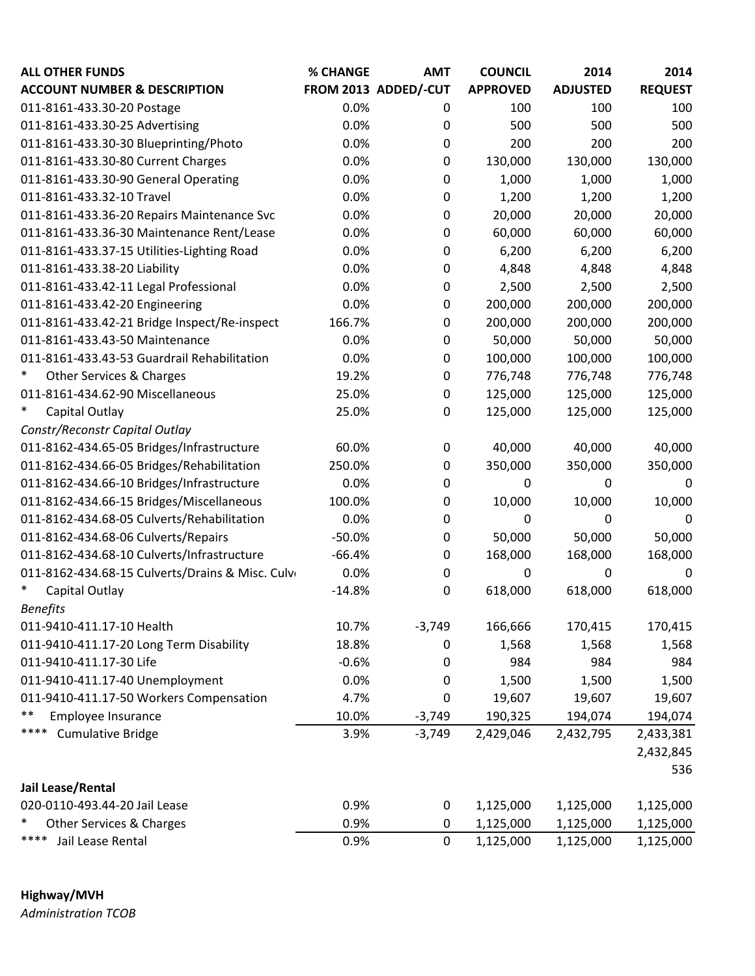| <b>ALL OTHER FUNDS</b>                          | % CHANGE | <b>AMT</b>           | <b>COUNCIL</b>  | 2014            | 2014           |
|-------------------------------------------------|----------|----------------------|-----------------|-----------------|----------------|
| <b>ACCOUNT NUMBER &amp; DESCRIPTION</b>         |          | FROM 2013 ADDED/-CUT | <b>APPROVED</b> | <b>ADJUSTED</b> | <b>REQUEST</b> |
| 011-8161-433.30-20 Postage                      | 0.0%     | 0                    | 100             | 100             | 100            |
| 011-8161-433.30-25 Advertising                  | 0.0%     | 0                    | 500             | 500             | 500            |
| 011-8161-433.30-30 Blueprinting/Photo           | 0.0%     | 0                    | 200             | 200             | 200            |
| 011-8161-433.30-80 Current Charges              | 0.0%     | 0                    | 130,000         | 130,000         | 130,000        |
| 011-8161-433.30-90 General Operating            | 0.0%     | $\mathbf 0$          | 1,000           | 1,000           | 1,000          |
| 011-8161-433.32-10 Travel                       | 0.0%     | $\mathbf 0$          | 1,200           | 1,200           | 1,200          |
| 011-8161-433.36-20 Repairs Maintenance Svc      | 0.0%     | $\mathbf 0$          | 20,000          | 20,000          | 20,000         |
| 011-8161-433.36-30 Maintenance Rent/Lease       | 0.0%     | 0                    | 60,000          | 60,000          | 60,000         |
| 011-8161-433.37-15 Utilities-Lighting Road      | 0.0%     | $\mathbf 0$          | 6,200           | 6,200           | 6,200          |
| 011-8161-433.38-20 Liability                    | 0.0%     | $\mathbf 0$          | 4,848           | 4,848           | 4,848          |
| 011-8161-433.42-11 Legal Professional           | 0.0%     | $\mathbf 0$          | 2,500           | 2,500           | 2,500          |
| 011-8161-433.42-20 Engineering                  | 0.0%     | $\mathbf 0$          | 200,000         | 200,000         | 200,000        |
| 011-8161-433.42-21 Bridge Inspect/Re-inspect    | 166.7%   | $\mathbf 0$          | 200,000         | 200,000         | 200,000        |
| 011-8161-433.43-50 Maintenance                  | 0.0%     | $\mathbf 0$          | 50,000          | 50,000          | 50,000         |
| 011-8161-433.43-53 Guardrail Rehabilitation     | 0.0%     | 0                    | 100,000         | 100,000         | 100,000        |
| *<br><b>Other Services &amp; Charges</b>        | 19.2%    | $\mathbf 0$          | 776,748         | 776,748         | 776,748        |
| 011-8161-434.62-90 Miscellaneous                | 25.0%    | $\mathbf 0$          | 125,000         | 125,000         | 125,000        |
| $\ast$<br>Capital Outlay                        | 25.0%    | $\mathbf 0$          | 125,000         | 125,000         | 125,000        |
| Constr/Reconstr Capital Outlay                  |          |                      |                 |                 |                |
| 011-8162-434.65-05 Bridges/Infrastructure       | 60.0%    | $\mathbf 0$          | 40,000          | 40,000          | 40,000         |
| 011-8162-434.66-05 Bridges/Rehabilitation       | 250.0%   | $\mathbf 0$          | 350,000         | 350,000         | 350,000        |
| 011-8162-434.66-10 Bridges/Infrastructure       | 0.0%     | $\mathbf 0$          | 0               | 0               | 0              |
| 011-8162-434.66-15 Bridges/Miscellaneous        | 100.0%   | $\mathbf 0$          | 10,000          | 10,000          | 10,000         |
| 011-8162-434.68-05 Culverts/Rehabilitation      | 0.0%     | $\mathbf 0$          | 0               | 0               | 0              |
| 011-8162-434.68-06 Culverts/Repairs             | $-50.0%$ | $\boldsymbol{0}$     | 50,000          | 50,000          | 50,000         |
| 011-8162-434.68-10 Culverts/Infrastructure      | $-66.4%$ | $\boldsymbol{0}$     | 168,000         | 168,000         | 168,000        |
| 011-8162-434.68-15 Culverts/Drains & Misc. Culv | 0.0%     | $\boldsymbol{0}$     | 0               | 0               | 0              |
| *<br>Capital Outlay                             | $-14.8%$ | $\boldsymbol{0}$     | 618,000         | 618,000         | 618,000        |
| <b>Benefits</b>                                 |          |                      |                 |                 |                |
| 011-9410-411.17-10 Health                       | 10.7%    | $-3,749$             | 166,666         | 170,415         | 170,415        |
| 011-9410-411.17-20 Long Term Disability         | 18.8%    | $\boldsymbol{0}$     | 1,568           | 1,568           | 1,568          |
| 011-9410-411.17-30 Life                         | $-0.6%$  | 0                    | 984             | 984             | 984            |
| 011-9410-411.17-40 Unemployment                 | 0.0%     | 0                    | 1,500           | 1,500           | 1,500          |
| 011-9410-411.17-50 Workers Compensation         | 4.7%     | 0                    | 19,607          | 19,607          | 19,607         |
| **<br>Employee Insurance                        | 10.0%    | $-3,749$             | 190,325         | 194,074         | 194,074        |
| ****<br><b>Cumulative Bridge</b>                | 3.9%     | $-3,749$             | 2,429,046       | 2,432,795       | 2,433,381      |
|                                                 |          |                      |                 |                 | 2,432,845      |
|                                                 |          |                      |                 |                 | 536            |
| Jail Lease/Rental                               |          |                      |                 |                 |                |
| 020-0110-493.44-20 Jail Lease                   | 0.9%     | 0                    | 1,125,000       | 1,125,000       | 1,125,000      |
| $\ast$<br>Other Services & Charges              | 0.9%     | $\mathbf 0$          | 1,125,000       | 1,125,000       | 1,125,000      |
| ****<br>Jail Lease Rental                       | 0.9%     | 0                    | 1,125,000       | 1,125,000       | 1,125,000      |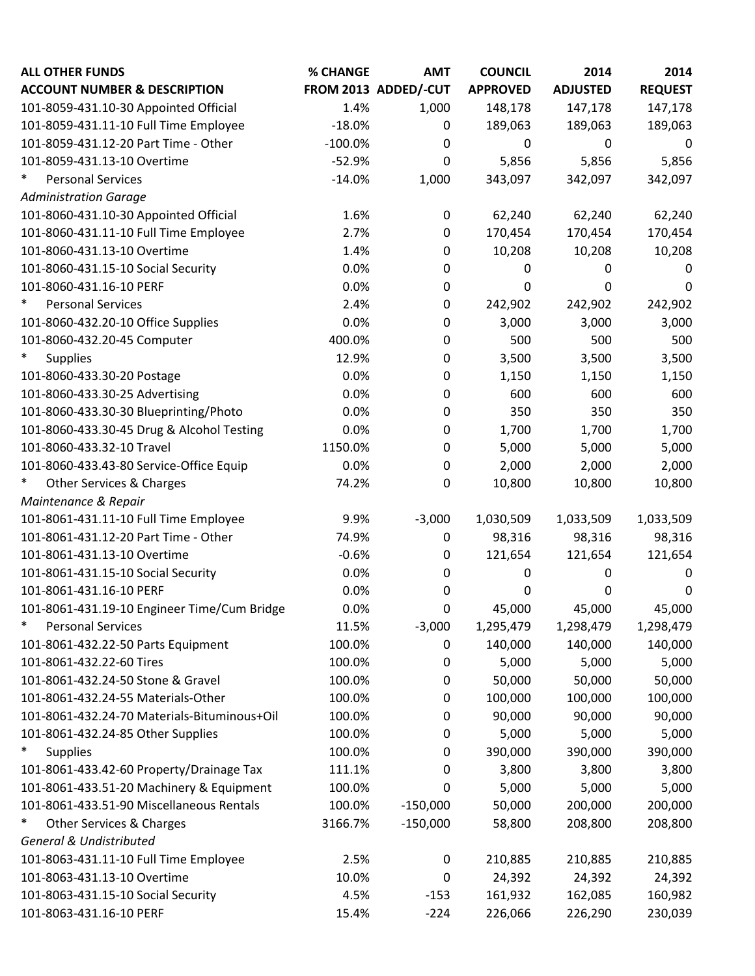| <b>ALL OTHER FUNDS</b>                        | % CHANGE  | <b>AMT</b>           | <b>COUNCIL</b>  | 2014            | 2014           |
|-----------------------------------------------|-----------|----------------------|-----------------|-----------------|----------------|
| <b>ACCOUNT NUMBER &amp; DESCRIPTION</b>       |           | FROM 2013 ADDED/-CUT | <b>APPROVED</b> | <b>ADJUSTED</b> | <b>REQUEST</b> |
| 101-8059-431.10-30 Appointed Official         | 1.4%      | 1,000                | 148,178         | 147,178         | 147,178        |
| 101-8059-431.11-10 Full Time Employee         | $-18.0%$  | 0                    | 189,063         | 189,063         | 189,063        |
| 101-8059-431.12-20 Part Time - Other          | $-100.0%$ | 0                    | 0               | 0               | 0              |
| 101-8059-431.13-10 Overtime                   | $-52.9%$  | 0                    | 5,856           | 5,856           | 5,856          |
| $\ast$<br><b>Personal Services</b>            | $-14.0%$  | 1,000                | 343,097         | 342,097         | 342,097        |
| <b>Administration Garage</b>                  |           |                      |                 |                 |                |
| 101-8060-431.10-30 Appointed Official         | 1.6%      | $\pmb{0}$            | 62,240          | 62,240          | 62,240         |
| 101-8060-431.11-10 Full Time Employee         | 2.7%      | $\mathbf 0$          | 170,454         | 170,454         | 170,454        |
| 101-8060-431.13-10 Overtime                   | 1.4%      | 0                    | 10,208          | 10,208          | 10,208         |
| 101-8060-431.15-10 Social Security            | 0.0%      | 0                    | 0               | 0               | 0              |
| 101-8060-431.16-10 PERF                       | 0.0%      | $\mathbf 0$          | 0               | 0               | 0              |
| $\ast$<br><b>Personal Services</b>            | 2.4%      | $\mathbf 0$          | 242,902         | 242,902         | 242,902        |
| 101-8060-432.20-10 Office Supplies            | 0.0%      | 0                    | 3,000           | 3,000           | 3,000          |
| 101-8060-432.20-45 Computer                   | 400.0%    | 0                    | 500             | 500             | 500            |
| $\ast$<br><b>Supplies</b>                     | 12.9%     | 0                    | 3,500           | 3,500           | 3,500          |
| 101-8060-433.30-20 Postage                    | 0.0%      | 0                    | 1,150           | 1,150           | 1,150          |
| 101-8060-433.30-25 Advertising                | 0.0%      | $\mathbf 0$          | 600             | 600             | 600            |
| 101-8060-433.30-30 Blueprinting/Photo         | 0.0%      | 0                    | 350             | 350             | 350            |
| 101-8060-433.30-45 Drug & Alcohol Testing     | 0.0%      | $\pmb{0}$            | 1,700           | 1,700           | 1,700          |
| 101-8060-433.32-10 Travel                     | 1150.0%   | 0                    | 5,000           | 5,000           | 5,000          |
| 101-8060-433.43-80 Service-Office Equip       | 0.0%      | 0                    | 2,000           | 2,000           | 2,000          |
| $\ast$<br><b>Other Services &amp; Charges</b> | 74.2%     | 0                    | 10,800          | 10,800          | 10,800         |
| Maintenance & Repair                          |           |                      |                 |                 |                |
| 101-8061-431.11-10 Full Time Employee         | 9.9%      | $-3,000$             | 1,030,509       | 1,033,509       | 1,033,509      |
| 101-8061-431.12-20 Part Time - Other          | 74.9%     | 0                    | 98,316          | 98,316          | 98,316         |
| 101-8061-431.13-10 Overtime                   | $-0.6%$   | $\mathbf 0$          | 121,654         | 121,654         | 121,654        |
| 101-8061-431.15-10 Social Security            | 0.0%      | 0                    | 0               | 0               | 0              |
| 101-8061-431.16-10 PERF                       | 0.0%      | 0                    | 0               | 0               | 0              |
| 101-8061-431.19-10 Engineer Time/Cum Bridge   | 0.0%      | 0                    | 45,000          | 45,000          | 45,000         |
| $\ast$<br><b>Personal Services</b>            | 11.5%     | $-3,000$             | 1,295,479       | 1,298,479       | 1,298,479      |
| 101-8061-432.22-50 Parts Equipment            | 100.0%    | 0                    | 140,000         | 140,000         | 140,000        |
| 101-8061-432.22-60 Tires                      | 100.0%    | 0                    | 5,000           | 5,000           | 5,000          |
| 101-8061-432.24-50 Stone & Gravel             | 100.0%    | $\pmb{0}$            | 50,000          | 50,000          | 50,000         |
| 101-8061-432.24-55 Materials-Other            | 100.0%    | 0                    | 100,000         | 100,000         | 100,000        |
| 101-8061-432.24-70 Materials-Bituminous+Oil   | 100.0%    | 0                    | 90,000          | 90,000          | 90,000         |
| 101-8061-432.24-85 Other Supplies             | 100.0%    | $\mathbf 0$          | 5,000           | 5,000           | 5,000          |
| $\ast$<br><b>Supplies</b>                     | 100.0%    | 0                    | 390,000         | 390,000         | 390,000        |
| 101-8061-433.42-60 Property/Drainage Tax      | 111.1%    | 0                    | 3,800           | 3,800           | 3,800          |
| 101-8061-433.51-20 Machinery & Equipment      | 100.0%    | 0                    | 5,000           | 5,000           | 5,000          |
| 101-8061-433.51-90 Miscellaneous Rentals      | 100.0%    | $-150,000$           | 50,000          | 200,000         | 200,000        |
| $\ast$<br>Other Services & Charges            | 3166.7%   | $-150,000$           | 58,800          | 208,800         | 208,800        |
| <b>General &amp; Undistributed</b>            |           |                      |                 |                 |                |
| 101-8063-431.11-10 Full Time Employee         | 2.5%      | $\boldsymbol{0}$     | 210,885         | 210,885         | 210,885        |
| 101-8063-431.13-10 Overtime                   | 10.0%     | $\mathbf 0$          | 24,392          | 24,392          | 24,392         |
| 101-8063-431.15-10 Social Security            | 4.5%      | $-153$               | 161,932         | 162,085         | 160,982        |
| 101-8063-431.16-10 PERF                       | 15.4%     | $-224$               | 226,066         | 226,290         | 230,039        |
|                                               |           |                      |                 |                 |                |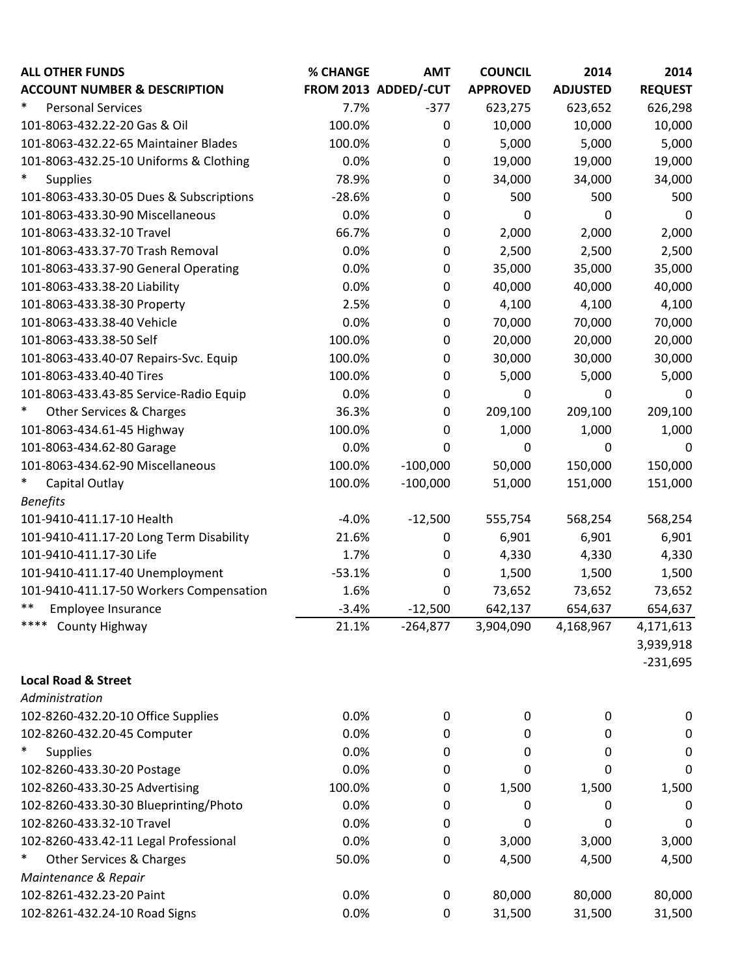| <b>ALL OTHER FUNDS</b>                        | % CHANGE | <b>AMT</b>           | <b>COUNCIL</b>  | 2014            | 2014           |
|-----------------------------------------------|----------|----------------------|-----------------|-----------------|----------------|
| <b>ACCOUNT NUMBER &amp; DESCRIPTION</b>       |          | FROM 2013 ADDED/-CUT | <b>APPROVED</b> | <b>ADJUSTED</b> | <b>REQUEST</b> |
| $\ast$<br><b>Personal Services</b>            | 7.7%     | $-377$               | 623,275         | 623,652         | 626,298        |
| 101-8063-432.22-20 Gas & Oil                  | 100.0%   | $\mathbf 0$          | 10,000          | 10,000          | 10,000         |
| 101-8063-432.22-65 Maintainer Blades          | 100.0%   | $\mathbf 0$          | 5,000           | 5,000           | 5,000          |
| 101-8063-432.25-10 Uniforms & Clothing        | 0.0%     | $\mathbf 0$          | 19,000          | 19,000          | 19,000         |
| $\ast$<br><b>Supplies</b>                     | 78.9%    | $\pmb{0}$            | 34,000          | 34,000          | 34,000         |
| 101-8063-433.30-05 Dues & Subscriptions       | $-28.6%$ | 0                    | 500             | 500             | 500            |
| 101-8063-433.30-90 Miscellaneous              | 0.0%     | $\pmb{0}$            | 0               | 0               | 0              |
| 101-8063-433.32-10 Travel                     | 66.7%    | 0                    | 2,000           | 2,000           | 2,000          |
| 101-8063-433.37-70 Trash Removal              | 0.0%     | 0                    | 2,500           | 2,500           | 2,500          |
| 101-8063-433.37-90 General Operating          | 0.0%     | 0                    | 35,000          | 35,000          | 35,000         |
| 101-8063-433.38-20 Liability                  | 0.0%     | $\mathbf 0$          | 40,000          | 40,000          | 40,000         |
| 101-8063-433.38-30 Property                   | 2.5%     | $\pmb{0}$            | 4,100           | 4,100           | 4,100          |
| 101-8063-433.38-40 Vehicle                    | 0.0%     | $\mathbf 0$          | 70,000          | 70,000          | 70,000         |
| 101-8063-433.38-50 Self                       | 100.0%   | 0                    | 20,000          | 20,000          | 20,000         |
| 101-8063-433.40-07 Repairs-Svc. Equip         | 100.0%   | 0                    | 30,000          | 30,000          | 30,000         |
| 101-8063-433.40-40 Tires                      | 100.0%   | $\mathbf 0$          | 5,000           | 5,000           | 5,000          |
| 101-8063-433.43-85 Service-Radio Equip        | 0.0%     | $\pmb{0}$            | 0               | 0               | 0              |
| $\ast$<br><b>Other Services &amp; Charges</b> | 36.3%    | 0                    | 209,100         | 209,100         | 209,100        |
| 101-8063-434.61-45 Highway                    | 100.0%   | 0                    | 1,000           | 1,000           | 1,000          |
| 101-8063-434.62-80 Garage                     | 0.0%     | 0                    | 0               | 0               | 0              |
| 101-8063-434.62-90 Miscellaneous              | 100.0%   | $-100,000$           | 50,000          | 150,000         | 150,000        |
| $\ast$<br>Capital Outlay                      | 100.0%   | $-100,000$           | 51,000          | 151,000         | 151,000        |
| <b>Benefits</b>                               |          |                      |                 |                 |                |
| 101-9410-411.17-10 Health                     | $-4.0%$  | $-12,500$            | 555,754         | 568,254         | 568,254        |
| 101-9410-411.17-20 Long Term Disability       | 21.6%    | 0                    | 6,901           | 6,901           | 6,901          |
| 101-9410-411.17-30 Life                       | 1.7%     | 0                    | 4,330           | 4,330           | 4,330          |
| 101-9410-411.17-40 Unemployment               | $-53.1%$ | 0                    | 1,500           | 1,500           | 1,500          |
| 101-9410-411.17-50 Workers Compensation       | 1.6%     | 0                    | 73,652          | 73,652          | 73,652         |
| **<br>Employee Insurance                      | $-3.4%$  | $-12,500$            | 642,137         | 654,637         | 654,637        |
| ****<br>County Highway                        | 21.1%    | $-264,877$           | 3,904,090       | 4,168,967       | 4,171,613      |
|                                               |          |                      |                 |                 | 3,939,918      |
|                                               |          |                      |                 |                 | $-231,695$     |
| <b>Local Road &amp; Street</b>                |          |                      |                 |                 |                |
| Administration                                |          |                      |                 |                 |                |
| 102-8260-432.20-10 Office Supplies            | 0.0%     | 0                    | 0               | 0               | 0              |
| 102-8260-432.20-45 Computer                   | 0.0%     | $\mathbf 0$          | 0               | 0               | 0              |
| $\ast$<br><b>Supplies</b>                     | 0.0%     | 0                    | 0               | 0               | 0              |
| 102-8260-433.30-20 Postage                    | 0.0%     | 0                    | 0               | 0               | 0              |
| 102-8260-433.30-25 Advertising                | 100.0%   | 0                    | 1,500           | 1,500           | 1,500          |
| 102-8260-433.30-30 Blueprinting/Photo         | 0.0%     | 0                    | 0               | 0               | 0              |
| 102-8260-433.32-10 Travel                     | 0.0%     | 0                    | 0               | 0               | 0              |
| 102-8260-433.42-11 Legal Professional         | 0.0%     | 0                    | 3,000           | 3,000           | 3,000          |
| $\ast$<br><b>Other Services &amp; Charges</b> | 50.0%    | 0                    | 4,500           | 4,500           | 4,500          |
| Maintenance & Repair                          |          |                      |                 |                 |                |
| 102-8261-432.23-20 Paint                      | 0.0%     | $\pmb{0}$            | 80,000          | 80,000          | 80,000         |
| 102-8261-432.24-10 Road Signs                 | 0.0%     | $\mathbf 0$          | 31,500          | 31,500          | 31,500         |
|                                               |          |                      |                 |                 |                |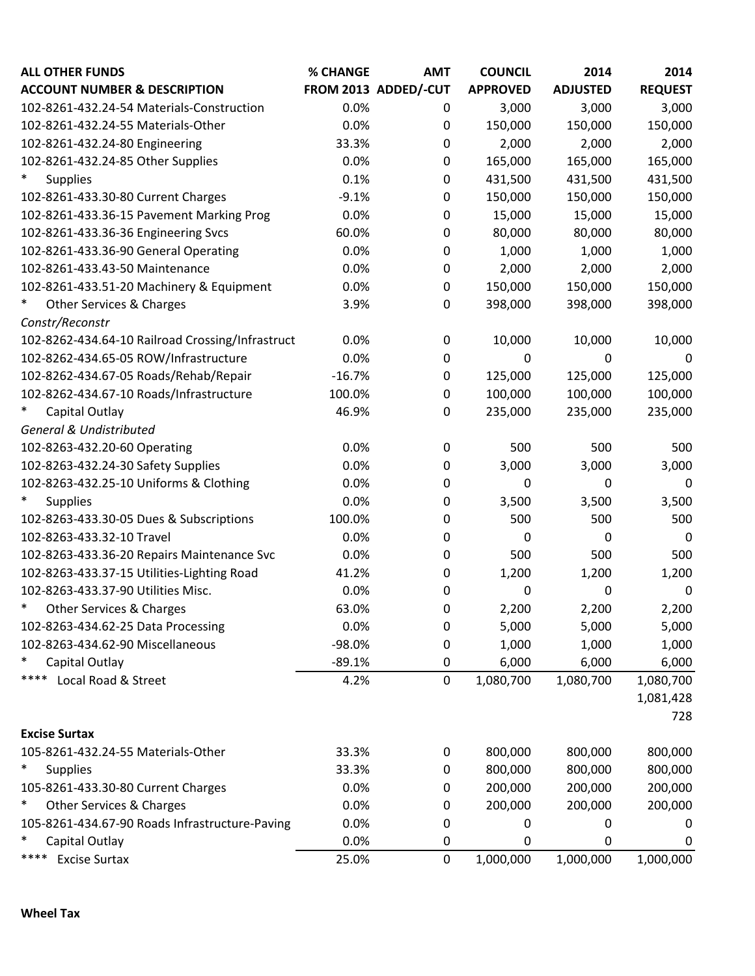| <b>ALL OTHER FUNDS</b>                           | % CHANGE | <b>AMT</b>           | <b>COUNCIL</b>  | 2014            | 2014           |
|--------------------------------------------------|----------|----------------------|-----------------|-----------------|----------------|
| <b>ACCOUNT NUMBER &amp; DESCRIPTION</b>          |          | FROM 2013 ADDED/-CUT | <b>APPROVED</b> | <b>ADJUSTED</b> | <b>REQUEST</b> |
| 102-8261-432.24-54 Materials-Construction        | 0.0%     | 0                    | 3,000           | 3,000           | 3,000          |
| 102-8261-432.24-55 Materials-Other               | 0.0%     | $\boldsymbol{0}$     | 150,000         | 150,000         | 150,000        |
| 102-8261-432.24-80 Engineering                   | 33.3%    | 0                    | 2,000           | 2,000           | 2,000          |
| 102-8261-432.24-85 Other Supplies                | 0.0%     | 0                    | 165,000         | 165,000         | 165,000        |
| $\ast$<br><b>Supplies</b>                        | 0.1%     | $\boldsymbol{0}$     | 431,500         | 431,500         | 431,500        |
| 102-8261-433.30-80 Current Charges               | $-9.1%$  | 0                    | 150,000         | 150,000         | 150,000        |
| 102-8261-433.36-15 Pavement Marking Prog         | 0.0%     | $\boldsymbol{0}$     | 15,000          | 15,000          | 15,000         |
| 102-8261-433.36-36 Engineering Svcs              | 60.0%    | 0                    | 80,000          | 80,000          | 80,000         |
| 102-8261-433.36-90 General Operating             | 0.0%     | 0                    | 1,000           | 1,000           | 1,000          |
| 102-8261-433.43-50 Maintenance                   | 0.0%     | 0                    | 2,000           | 2,000           | 2,000          |
| 102-8261-433.51-20 Machinery & Equipment         | 0.0%     | $\boldsymbol{0}$     | 150,000         | 150,000         | 150,000        |
| $\ast$<br>Other Services & Charges               | 3.9%     | $\mathbf 0$          | 398,000         | 398,000         | 398,000        |
| Constr/Reconstr                                  |          |                      |                 |                 |                |
| 102-8262-434.64-10 Railroad Crossing/Infrastruct | 0.0%     | $\mathbf 0$          | 10,000          | 10,000          | 10,000         |
| 102-8262-434.65-05 ROW/Infrastructure            | 0.0%     | 0                    | 0               | 0               | 0              |
| 102-8262-434.67-05 Roads/Rehab/Repair            | $-16.7%$ | $\mathbf 0$          | 125,000         | 125,000         | 125,000        |
| 102-8262-434.67-10 Roads/Infrastructure          | 100.0%   | 0                    | 100,000         | 100,000         | 100,000        |
| $\ast$<br>Capital Outlay                         | 46.9%    | $\mathbf 0$          | 235,000         | 235,000         | 235,000        |
| <b>General &amp; Undistributed</b>               |          |                      |                 |                 |                |
| 102-8263-432.20-60 Operating                     | 0.0%     | $\mathbf 0$          | 500             | 500             | 500            |
| 102-8263-432.24-30 Safety Supplies               | 0.0%     | $\mathbf 0$          | 3,000           | 3,000           | 3,000          |
| 102-8263-432.25-10 Uniforms & Clothing           | 0.0%     | 0                    | 0               | 0               | 0              |
| $\ast$<br><b>Supplies</b>                        | 0.0%     | 0                    | 3,500           | 3,500           | 3,500          |
| 102-8263-433.30-05 Dues & Subscriptions          | 100.0%   | $\mathbf 0$          | 500             | 500             | 500            |
| 102-8263-433.32-10 Travel                        | 0.0%     | 0                    | 0               | 0               | 0              |
| 102-8263-433.36-20 Repairs Maintenance Svc       | 0.0%     | $\mathbf 0$          | 500             | 500             | 500            |
| 102-8263-433.37-15 Utilities-Lighting Road       | 41.2%    | 0                    | 1,200           | 1,200           | 1,200          |
| 102-8263-433.37-90 Utilities Misc.               | 0.0%     | 0                    | 0               | 0               | $\mathbf 0$    |
| $\ast$<br>Other Services & Charges               | 63.0%    | 0                    | 2,200           | 2,200           | 2,200          |
| 102-8263-434.62-25 Data Processing               | 0.0%     | $\boldsymbol{0}$     | 5,000           | 5,000           | 5,000          |
| 102-8263-434.62-90 Miscellaneous                 | $-98.0%$ | 0                    | 1,000           | 1,000           | 1,000          |
| $\ast$<br>Capital Outlay                         | $-89.1%$ | 0                    | 6,000           | 6,000           | 6,000          |
| Local Road & Street<br>****                      | 4.2%     | $\mathbf 0$          | 1,080,700       | 1,080,700       | 1,080,700      |
|                                                  |          |                      |                 |                 | 1,081,428      |
|                                                  |          |                      |                 |                 | 728            |
| <b>Excise Surtax</b>                             |          |                      |                 |                 |                |
| 105-8261-432.24-55 Materials-Other               | 33.3%    | 0                    | 800,000         | 800,000         | 800,000        |
| $\ast$<br><b>Supplies</b>                        | 33.3%    | $\boldsymbol{0}$     | 800,000         | 800,000         | 800,000        |
| 105-8261-433.30-80 Current Charges               | 0.0%     | 0                    | 200,000         | 200,000         | 200,000        |
| $\ast$<br>Other Services & Charges               | 0.0%     | $\boldsymbol{0}$     | 200,000         | 200,000         | 200,000        |
| 105-8261-434.67-90 Roads Infrastructure-Paving   | 0.0%     | 0                    | 0               | 0               | 0              |
| $\ast$<br>Capital Outlay                         | 0.0%     | 0                    | 0               | 0               | 0              |
| ****<br><b>Excise Surtax</b>                     | 25.0%    | $\mathbf 0$          | 1,000,000       | 1,000,000       | 1,000,000      |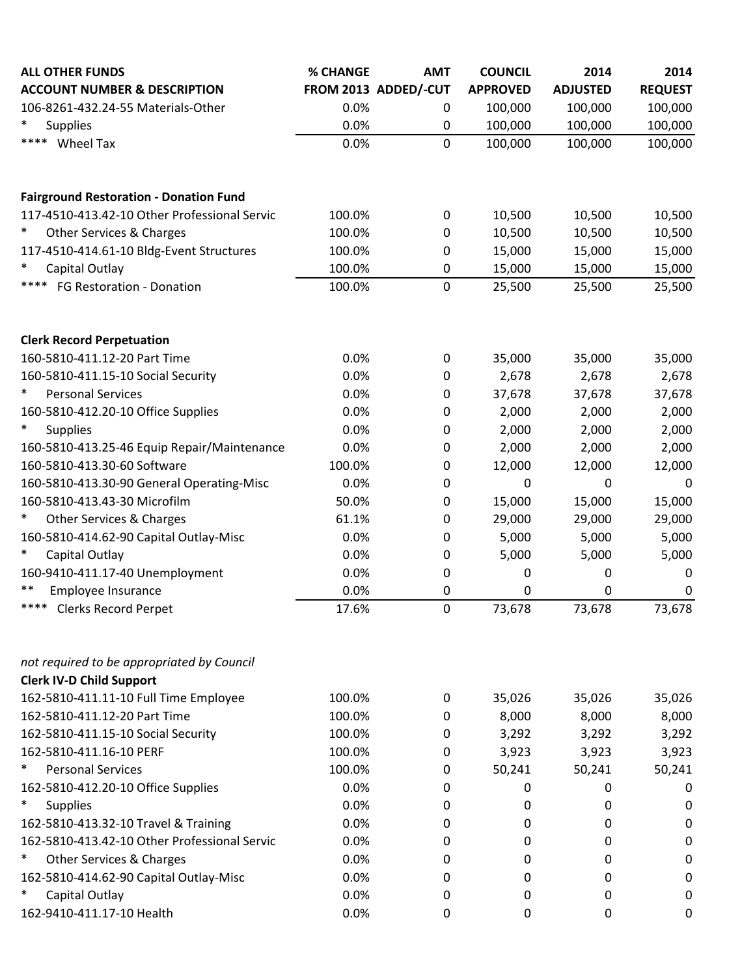| <b>ALL OTHER FUNDS</b>                        | % CHANGE | <b>AMT</b>           | <b>COUNCIL</b>  | 2014            | 2014           |
|-----------------------------------------------|----------|----------------------|-----------------|-----------------|----------------|
| <b>ACCOUNT NUMBER &amp; DESCRIPTION</b>       |          | FROM 2013 ADDED/-CUT | <b>APPROVED</b> | <b>ADJUSTED</b> | <b>REQUEST</b> |
| 106-8261-432.24-55 Materials-Other            | 0.0%     | 0                    | 100,000         | 100,000         | 100,000        |
| $\ast$<br><b>Supplies</b>                     | 0.0%     | $\boldsymbol{0}$     | 100,000         | 100,000         | 100,000        |
| ****<br>Wheel Tax                             | 0.0%     | $\mathbf 0$          | 100,000         | 100,000         | 100,000        |
| <b>Fairground Restoration - Donation Fund</b> |          |                      |                 |                 |                |
| 117-4510-413.42-10 Other Professional Servic  | 100.0%   | $\mathbf 0$          | 10,500          | 10,500          | 10,500         |
| $\ast$<br>Other Services & Charges            | 100.0%   | 0                    | 10,500          | 10,500          | 10,500         |
| 117-4510-414.61-10 Bldg-Event Structures      | 100.0%   | $\boldsymbol{0}$     | 15,000          | 15,000          | 15,000         |
| $\ast$<br>Capital Outlay                      | 100.0%   | 0                    | 15,000          | 15,000          | 15,000         |
| ****<br>FG Restoration - Donation             | 100.0%   | $\mathbf 0$          | 25,500          | 25,500          | 25,500         |
| <b>Clerk Record Perpetuation</b>              |          |                      |                 |                 |                |
| 160-5810-411.12-20 Part Time                  | 0.0%     | 0                    | 35,000          | 35,000          | 35,000         |
| 160-5810-411.15-10 Social Security            | 0.0%     | $\mathbf 0$          | 2,678           | 2,678           | 2,678          |
| $\ast$<br><b>Personal Services</b>            | 0.0%     | 0                    | 37,678          | 37,678          | 37,678         |
| 160-5810-412.20-10 Office Supplies            | 0.0%     | 0                    | 2,000           | 2,000           | 2,000          |
| $\ast$<br><b>Supplies</b>                     | 0.0%     | $\mathbf 0$          | 2,000           | 2,000           | 2,000          |
| 160-5810-413.25-46 Equip Repair/Maintenance   | 0.0%     | 0                    | 2,000           | 2,000           | 2,000          |
| 160-5810-413.30-60 Software                   | 100.0%   | 0                    | 12,000          | 12,000          | 12,000         |
| 160-5810-413.30-90 General Operating-Misc     | 0.0%     | 0                    | 0               | 0               | 0              |
| 160-5810-413.43-30 Microfilm                  | 50.0%    | 0                    | 15,000          | 15,000          | 15,000         |
| $\ast$<br>Other Services & Charges            | 61.1%    | $\mathbf 0$          | 29,000          | 29,000          | 29,000         |
| 160-5810-414.62-90 Capital Outlay-Misc        | 0.0%     | 0                    | 5,000           | 5,000           | 5,000          |
| $\ast$<br>Capital Outlay                      | 0.0%     | $\mathbf 0$          | 5,000           | 5,000           | 5,000          |
| 160-9410-411.17-40 Unemployment               | 0.0%     | 0                    | 0               | 0               | 0              |
| $***$<br>Employee Insurance                   | 0.0%     | $\mathbf 0$          | 0               | 0               | 0              |
| **** Clerks Record Perpet                     | 17.6%    | $\mathbf 0$          | 73,678          | 73,678          | 73,678         |
| not required to be appropriated by Council    |          |                      |                 |                 |                |
| <b>Clerk IV-D Child Support</b>               |          |                      |                 |                 |                |
| 162-5810-411.11-10 Full Time Employee         | 100.0%   | 0                    | 35,026          | 35,026          | 35,026         |
| 162-5810-411.12-20 Part Time                  | 100.0%   | 0                    | 8,000           | 8,000           | 8,000          |
| 162-5810-411.15-10 Social Security            | 100.0%   | 0                    | 3,292           | 3,292           | 3,292          |
| 162-5810-411.16-10 PERF                       | 100.0%   | 0                    | 3,923           | 3,923           | 3,923          |
| $\ast$<br><b>Personal Services</b>            | 100.0%   | 0                    | 50,241          | 50,241          | 50,241         |
| 162-5810-412.20-10 Office Supplies            | 0.0%     | 0                    | 0               | 0               | 0              |
| $\ast$<br><b>Supplies</b>                     | 0.0%     | 0                    | 0               | 0               | 0              |
| 162-5810-413.32-10 Travel & Training          | 0.0%     | 0                    | 0               | 0               | 0              |
| 162-5810-413.42-10 Other Professional Servic  | 0.0%     | 0                    | 0               | 0               | 0              |
| $\ast$<br><b>Other Services &amp; Charges</b> | 0.0%     | 0                    | 0               | 0               | 0              |
| 162-5810-414.62-90 Capital Outlay-Misc        | 0.0%     | 0                    | 0               | 0               | 0              |
| ∗<br>Capital Outlay                           | 0.0%     | 0                    | 0               | 0               | 0              |
| 162-9410-411.17-10 Health                     | 0.0%     | 0                    | 0               | 0               | 0              |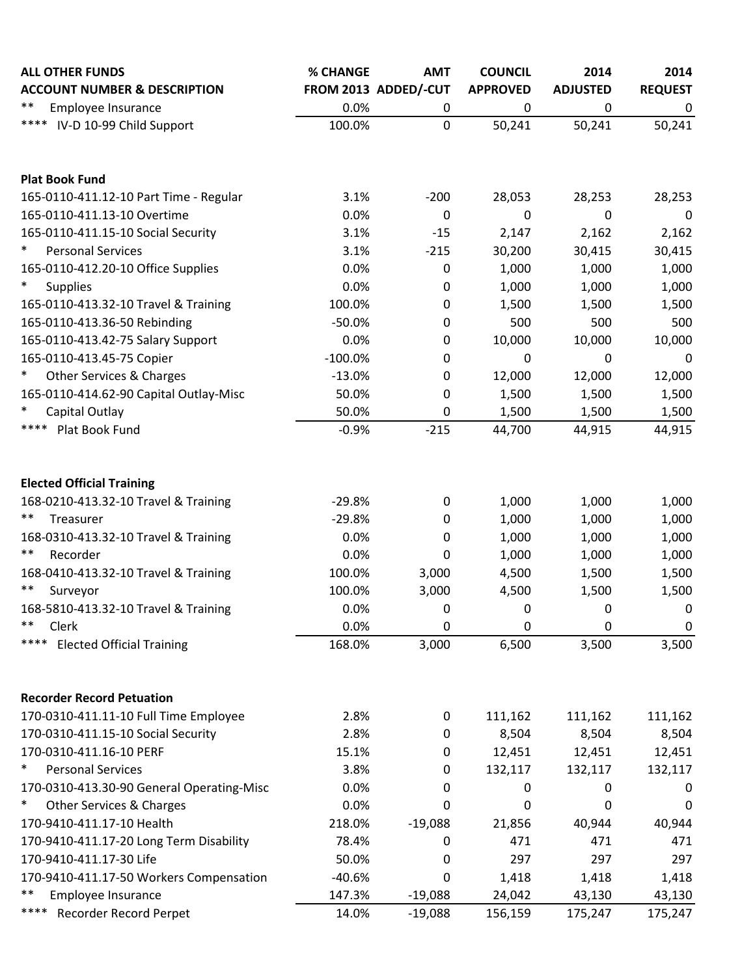| <b>ALL OTHER FUNDS</b>                        | % CHANGE             | <b>AMT</b>       | <b>COUNCIL</b>  | 2014            | 2014           |
|-----------------------------------------------|----------------------|------------------|-----------------|-----------------|----------------|
| <b>ACCOUNT NUMBER &amp; DESCRIPTION</b>       | FROM 2013 ADDED/-CUT |                  | <b>APPROVED</b> | <b>ADJUSTED</b> | <b>REQUEST</b> |
| **<br>Employee Insurance                      | 0.0%                 | 0                | 0               | 0               | 0              |
| **** IV-D 10-99 Child Support                 | 100.0%               | $\mathbf 0$      | 50,241          | 50,241          | 50,241         |
| <b>Plat Book Fund</b>                         |                      |                  |                 |                 |                |
| 165-0110-411.12-10 Part Time - Regular        | 3.1%                 | $-200$           | 28,053          | 28,253          | 28,253         |
| 165-0110-411.13-10 Overtime                   | 0.0%                 | $\mathbf 0$      | 0               | 0               | 0              |
| 165-0110-411.15-10 Social Security            | 3.1%                 | $-15$            | 2,147           | 2,162           | 2,162          |
| $\ast$<br><b>Personal Services</b>            | 3.1%                 | $-215$           | 30,200          | 30,415          | 30,415         |
| 165-0110-412.20-10 Office Supplies            | 0.0%                 | $\pmb{0}$        | 1,000           | 1,000           | 1,000          |
| $\ast$<br><b>Supplies</b>                     | 0.0%                 | $\mathbf 0$      | 1,000           | 1,000           | 1,000          |
| 165-0110-413.32-10 Travel & Training          | 100.0%               | 0                | 1,500           | 1,500           | 1,500          |
| 165-0110-413.36-50 Rebinding                  | $-50.0%$             | 0                | 500             | 500             | 500            |
| 165-0110-413.42-75 Salary Support             | 0.0%                 | $\mathbf 0$      | 10,000          | 10,000          | 10,000         |
| 165-0110-413.45-75 Copier                     | $-100.0%$            | $\mathbf 0$      | $\mathbf 0$     | 0               | $\mathbf 0$    |
| $\ast$<br><b>Other Services &amp; Charges</b> | $-13.0%$             | $\mathbf 0$      | 12,000          | 12,000          | 12,000         |
| 165-0110-414.62-90 Capital Outlay-Misc        | 50.0%                | 0                | 1,500           | 1,500           | 1,500          |
| $\ast$<br>Capital Outlay                      | 50.0%                | 0                | 1,500           | 1,500           | 1,500          |
| ****<br>Plat Book Fund                        | $-0.9%$              | $-215$           | 44,700          | 44,915          | 44,915         |
| <b>Elected Official Training</b>              |                      |                  |                 |                 |                |
| 168-0210-413.32-10 Travel & Training          | $-29.8%$             | 0                | 1,000           | 1,000           | 1,000          |
| **<br>Treasurer                               | $-29.8%$             | $\boldsymbol{0}$ | 1,000           | 1,000           | 1,000          |
| 168-0310-413.32-10 Travel & Training          | 0.0%                 | 0                | 1,000           | 1,000           | 1,000          |
| **<br>Recorder                                | 0.0%                 | 0                | 1,000           | 1,000           | 1,000          |
| 168-0410-413.32-10 Travel & Training          | 100.0%               | 3,000            | 4,500           | 1,500           | 1,500          |
| $***$<br>Surveyor                             | 100.0%               | 3,000            | 4,500           | 1,500           | 1,500          |
| 168-5810-413.32-10 Travel & Training          | 0.0%                 | $\boldsymbol{0}$ | 0               | 0               | 0              |
| $***$<br>Clerk                                | 0.0%                 | 0                | 0               | 0               | 0              |
| ****<br><b>Elected Official Training</b>      | 168.0%               | 3,000            | 6,500           | 3,500           | 3,500          |
|                                               |                      |                  |                 |                 |                |
| <b>Recorder Record Petuation</b>              |                      |                  |                 |                 |                |
| 170-0310-411.11-10 Full Time Employee         | 2.8%                 | 0                | 111,162         | 111,162         | 111,162        |
| 170-0310-411.15-10 Social Security            | 2.8%                 | 0                | 8,504           | 8,504           | 8,504          |
| 170-0310-411.16-10 PERF                       | 15.1%                | 0                | 12,451          | 12,451          | 12,451         |
| $\ast$<br><b>Personal Services</b>            | 3.8%                 | 0                | 132,117         | 132,117         | 132,117        |
| 170-0310-413.30-90 General Operating-Misc     | 0.0%                 | 0                | 0               | 0               | 0              |
| $\ast$<br><b>Other Services &amp; Charges</b> | 0.0%                 | 0                | 0               | 0               | 0              |
| 170-9410-411.17-10 Health                     | 218.0%               | $-19,088$        | 21,856          | 40,944          | 40,944         |
| 170-9410-411.17-20 Long Term Disability       | 78.4%                | 0                | 471             | 471             | 471            |
| 170-9410-411.17-30 Life                       | 50.0%                | $\boldsymbol{0}$ | 297             | 297             | 297            |
| 170-9410-411.17-50 Workers Compensation       | $-40.6%$             | 0                | 1,418           | 1,418           | 1,418          |
| **<br>Employee Insurance                      | 147.3%               | $-19,088$        | 24,042          | 43,130          | 43,130         |
| ****<br><b>Recorder Record Perpet</b>         | 14.0%                | $-19,088$        | 156,159         | 175,247         | 175,247        |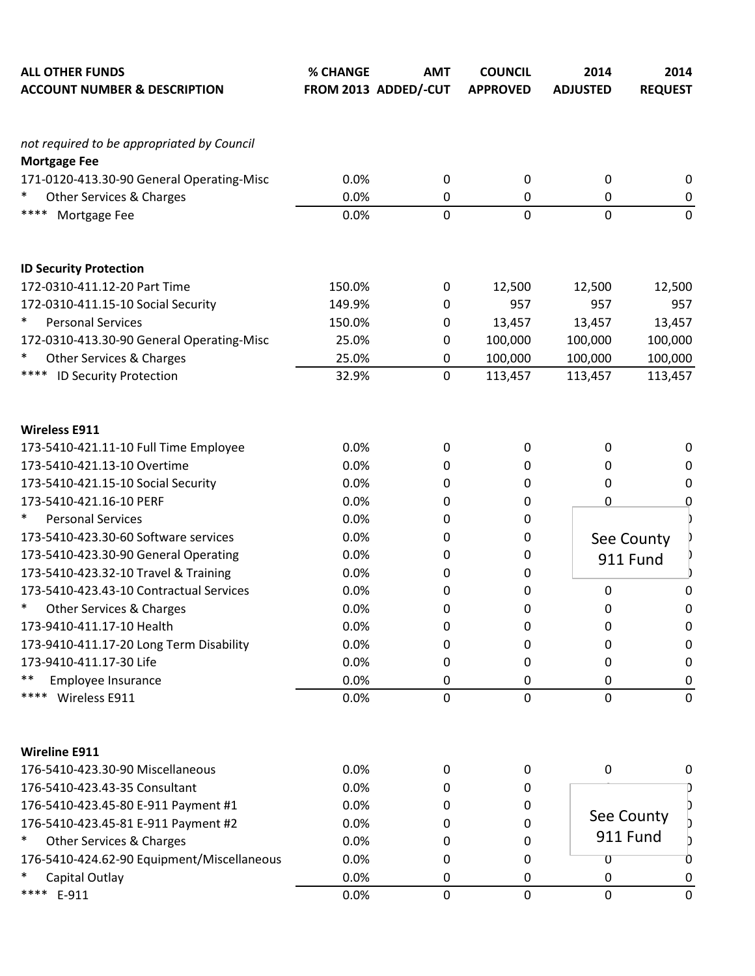| <b>ALL OTHER FUNDS</b><br><b>ACCOUNT NUMBER &amp; DESCRIPTION</b> | % CHANGE | <b>AMT</b><br>FROM 2013 ADDED/-CUT | <b>COUNCIL</b><br><b>APPROVED</b> | 2014<br><b>ADJUSTED</b> | 2014<br><b>REQUEST</b> |
|-------------------------------------------------------------------|----------|------------------------------------|-----------------------------------|-------------------------|------------------------|
| not required to be appropriated by Council                        |          |                                    |                                   |                         |                        |
| <b>Mortgage Fee</b><br>171-0120-413.30-90 General Operating-Misc  | 0.0%     | $\boldsymbol{0}$                   | 0                                 | 0                       | 0                      |
| $\ast$<br>Other Services & Charges                                | 0.0%     | 0                                  | $\pmb{0}$                         | $\boldsymbol{0}$        | $\mathbf 0$            |
| ****<br>Mortgage Fee                                              | 0.0%     | 0                                  | $\mathbf 0$                       | $\mathbf 0$             | $\mathbf 0$            |
| <b>ID Security Protection</b>                                     |          |                                    |                                   |                         |                        |
| 172-0310-411.12-20 Part Time                                      | 150.0%   | 0                                  | 12,500                            | 12,500                  | 12,500                 |
| 172-0310-411.15-10 Social Security                                | 149.9%   | 0                                  | 957                               | 957                     | 957                    |
| $\ast$<br><b>Personal Services</b>                                | 150.0%   | 0                                  | 13,457                            | 13,457                  | 13,457                 |
| 172-0310-413.30-90 General Operating-Misc                         | 25.0%    | 0                                  | 100,000                           | 100,000                 | 100,000                |
| $\ast$<br>Other Services & Charges                                | 25.0%    | $\boldsymbol{0}$                   | 100,000                           | 100,000                 | 100,000                |
| ****<br><b>ID Security Protection</b>                             | 32.9%    | 0                                  | 113,457                           | 113,457                 | 113,457                |
| <b>Wireless E911</b>                                              |          |                                    |                                   |                         |                        |
| 173-5410-421.11-10 Full Time Employee                             | 0.0%     | 0                                  | 0                                 | $\mathbf 0$             | 0                      |
| 173-5410-421.13-10 Overtime                                       | 0.0%     | 0                                  | 0                                 | 0                       | $\mathbf 0$            |
| 173-5410-421.15-10 Social Security                                | 0.0%     | 0                                  | 0                                 | 0                       | 0                      |
| 173-5410-421.16-10 PERF                                           | 0.0%     | 0                                  | 0                                 | 0                       | $\overline{0}$         |
| $\ast$<br><b>Personal Services</b>                                | 0.0%     | 0                                  | 0                                 |                         |                        |
| 173-5410-423.30-60 Software services                              | 0.0%     | 0                                  | 0                                 |                         | See County             |
| 173-5410-423.30-90 General Operating                              | 0.0%     | 0                                  | 0                                 |                         | 911 Fund               |
| 173-5410-423.32-10 Travel & Training                              | 0.0%     | 0                                  | 0                                 |                         |                        |
| 173-5410-423.43-10 Contractual Services                           | 0.0%     | 0                                  | 0                                 | $\mathbf 0$             | $\Omega$               |
| <b>Other Services &amp; Charges</b>                               | 0.0%     | 0                                  | 0                                 | 0                       | 0                      |
| 173-9410-411.17-10 Health                                         | 0.0%     | 0                                  | 0                                 | 0                       | $\mathbf 0$            |
| 173-9410-411.17-20 Long Term Disability                           | 0.0%     | 0                                  | 0                                 | 0                       | 0                      |
| 173-9410-411.17-30 Life                                           | 0.0%     | 0                                  | 0                                 | 0                       | 0                      |
| **<br>Employee Insurance                                          | 0.0%     | 0                                  | 0                                 | 0                       | 0                      |
| Wireless E911<br>****                                             | 0.0%     | $\mathbf 0$                        | $\mathbf 0$                       | $\mathbf 0$             | $\mathbf 0$            |
| <b>Wireline E911</b>                                              |          |                                    |                                   |                         |                        |
| 176-5410-423.30-90 Miscellaneous                                  | 0.0%     | 0                                  | 0                                 | $\mathbf 0$             | 0                      |
| 176-5410-423.43-35 Consultant                                     | 0.0%     | 0                                  | 0                                 |                         |                        |
| 176-5410-423.45-80 E-911 Payment #1                               | 0.0%     | 0                                  | 0                                 |                         |                        |
| 176-5410-423.45-81 E-911 Payment #2                               | 0.0%     | 0                                  | 0                                 |                         | See County             |
| $\ast$<br><b>Other Services &amp; Charges</b>                     | 0.0%     | 0                                  | 0                                 |                         | 911 Fund               |
| 176-5410-424.62-90 Equipment/Miscellaneous                        | 0.0%     | 0                                  | 0                                 | 0                       | 0                      |
| ∗<br>Capital Outlay                                               | 0.0%     | 0                                  | 0                                 | 0                       | 0                      |
| ****<br>E-911                                                     | 0.0%     | 0                                  | $\pmb{0}$                         | $\mathbf 0$             | 0                      |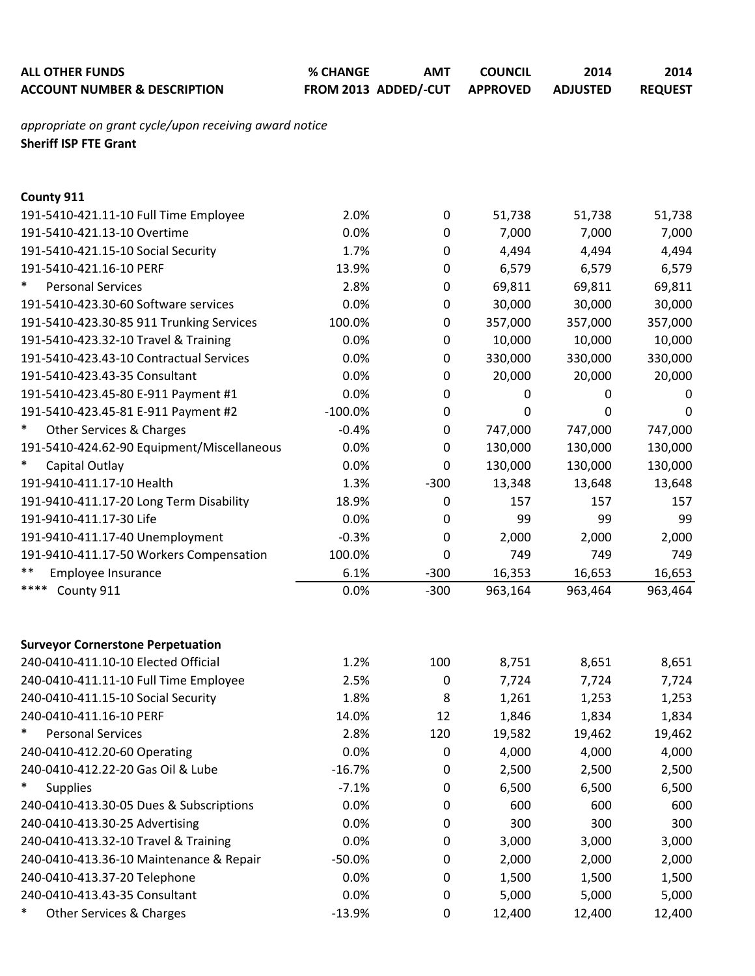| <b>ALL OTHER FUNDS</b><br><b>ACCOUNT NUMBER &amp; DESCRIPTION</b>                      | % CHANGE<br>FROM 2013 ADDED/-CUT | <b>AMT</b> | <b>COUNCIL</b><br><b>APPROVED</b> | 2014<br><b>ADJUSTED</b> | 2014<br><b>REQUEST</b> |
|----------------------------------------------------------------------------------------|----------------------------------|------------|-----------------------------------|-------------------------|------------------------|
| appropriate on grant cycle/upon receiving award notice<br><b>Sheriff ISP FTE Grant</b> |                                  |            |                                   |                         |                        |
| County 911                                                                             |                                  |            |                                   |                         |                        |
| 191-5410-421.11-10 Full Time Employee                                                  | 2.0%                             | 0          | 51,738                            | 51,738                  | 51,738                 |
| 191-5410-421.13-10 Overtime                                                            | 0.0%                             | 0          | 7,000                             | 7,000                   | 7,000                  |
| 191-5410-421.15-10 Social Security                                                     | 1.7%                             | 0          | 4,494                             | 4,494                   | 4,494                  |
| 191-5410-421.16-10 PERF                                                                | 13.9%                            | 0          | 6,579                             | 6,579                   | 6,579                  |
| $\ast$<br><b>Personal Services</b>                                                     | 2.8%                             | 0          | 69,811                            | 69,811                  | 69,811                 |
| 191-5410-423.30-60 Software services                                                   | 0.0%                             | 0          | 30,000                            | 30,000                  | 30,000                 |
| 191-5410-423.30-85 911 Trunking Services                                               | 100.0%                           | 0          | 357,000                           | 357,000                 | 357,000                |
| 191-5410-423.32-10 Travel & Training                                                   | 0.0%                             | 0          | 10,000                            | 10,000                  | 10,000                 |
| 191-5410-423.43-10 Contractual Services                                                | 0.0%                             | 0          | 330,000                           | 330,000                 | 330,000                |
| 191-5410-423.43-35 Consultant                                                          | 0.0%                             | 0          | 20,000                            | 20,000                  | 20,000                 |
| 191-5410-423.45-80 E-911 Payment #1                                                    | 0.0%                             | 0          | 0                                 | 0                       | 0                      |
| 191-5410-423.45-81 E-911 Payment #2                                                    | $-100.0%$                        | 0          | 0                                 | 0                       | 0                      |
| $\ast$<br>Other Services & Charges                                                     | $-0.4%$                          | 0          | 747,000                           | 747,000                 | 747,000                |
| 191-5410-424.62-90 Equipment/Miscellaneous                                             | 0.0%                             | 0          | 130,000                           | 130,000                 | 130,000                |
| $\ast$<br>Capital Outlay                                                               | 0.0%                             | 0          | 130,000                           | 130,000                 | 130,000                |
| 191-9410-411.17-10 Health                                                              | 1.3%                             | $-300$     | 13,348                            | 13,648                  | 13,648                 |
| 191-9410-411.17-20 Long Term Disability                                                | 18.9%                            | 0          | 157                               | 157                     | 157                    |
| 191-9410-411.17-30 Life                                                                | 0.0%                             | 0          | 99                                | 99                      | 99                     |
| 191-9410-411.17-40 Unemployment                                                        | $-0.3%$                          | 0          | 2,000                             | 2,000                   | 2,000                  |
| 191-9410-411.17-50 Workers Compensation                                                | 100.0%                           | 0          | 749                               | 749                     | 749                    |
| $***$<br>Employee Insurance                                                            | 6.1%                             | $-300$     | 16,353                            | 16,653                  | 16,653                 |
| ****<br>County 911                                                                     | 0.0%                             | $-300$     | 963,164                           | 963,464                 | 963,464                |
|                                                                                        |                                  |            |                                   |                         |                        |
| <b>Surveyor Cornerstone Perpetuation</b>                                               |                                  |            |                                   |                         |                        |
| 240-0410-411.10-10 Elected Official                                                    | 1.2%                             | 100        | 8,751                             | 8,651                   | 8,651                  |
| 240-0410-411.11-10 Full Time Employee                                                  | 2.5%                             | 0          | 7,724                             | 7,724                   | 7,724                  |
| 240-0410-411.15-10 Social Security                                                     | 1.8%                             | 8          | 1,261                             | 1,253                   | 1,253                  |
| 240-0410-411.16-10 PERF<br>$\ast$<br><b>Personal Services</b>                          | 14.0%                            | 12         | 1,846                             | 1,834                   | 1,834                  |
|                                                                                        | 2.8%                             | 120        | 19,582                            | 19,462                  | 19,462                 |
| 240-0410-412.20-60 Operating                                                           | 0.0%                             | 0          | 4,000                             | 4,000                   | 4,000                  |
| 240-0410-412.22-20 Gas Oil & Lube<br>$\ast$                                            | $-16.7%$                         | 0          | 2,500                             | 2,500                   | 2,500                  |
| <b>Supplies</b>                                                                        | $-7.1%$                          | 0          | 6,500                             | 6,500                   | 6,500                  |
| 240-0410-413.30-05 Dues & Subscriptions                                                | 0.0%                             | 0          | 600                               | 600                     | 600                    |
| 240-0410-413.30-25 Advertising                                                         | 0.0%                             | 0          | 300                               | 300                     | 300                    |
| 240-0410-413.32-10 Travel & Training                                                   | 0.0%                             | 0          | 3,000                             | 3,000                   | 3,000                  |
| 240-0410-413.36-10 Maintenance & Repair                                                | $-50.0%$                         | 0          | 2,000                             | 2,000                   | 2,000                  |
| 240-0410-413.37-20 Telephone                                                           | 0.0%                             | 0          | 1,500                             | 1,500                   | 1,500                  |
| 240-0410-413.43-35 Consultant                                                          | 0.0%                             | 0          | 5,000                             | 5,000                   | 5,000                  |
| <b>Other Services &amp; Charges</b>                                                    | $-13.9%$                         | 0          | 12,400                            | 12,400                  | 12,400                 |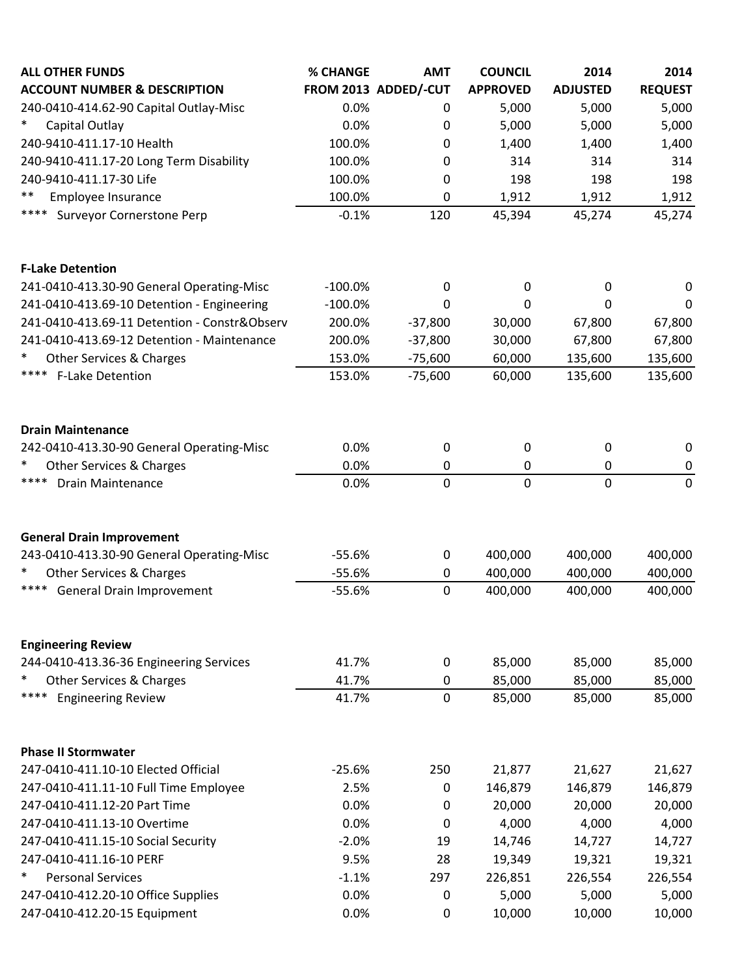| <b>ALL OTHER FUNDS</b>                                  | <b>% CHANGE</b>   | <b>AMT</b>           | <b>COUNCIL</b>  | 2014            | 2014            |
|---------------------------------------------------------|-------------------|----------------------|-----------------|-----------------|-----------------|
| <b>ACCOUNT NUMBER &amp; DESCRIPTION</b>                 |                   | FROM 2013 ADDED/-CUT | <b>APPROVED</b> | <b>ADJUSTED</b> | <b>REQUEST</b>  |
| 240-0410-414.62-90 Capital Outlay-Misc                  | 0.0%              | 0                    | 5,000           | 5,000           | 5,000           |
| $\ast$<br>Capital Outlay                                | 0.0%              | 0                    | 5,000           | 5,000           | 5,000           |
| 240-9410-411.17-10 Health                               | 100.0%            | 0                    | 1,400           | 1,400           | 1,400           |
| 240-9410-411.17-20 Long Term Disability                 | 100.0%            | 0                    | 314             | 314             | 314             |
| 240-9410-411.17-30 Life<br>$***$                        | 100.0%            | 0                    | 198             | 198             | 198             |
| Employee Insurance<br>****<br>Surveyor Cornerstone Perp | 100.0%<br>$-0.1%$ | 0<br>120             | 1,912           | 1,912           | 1,912<br>45,274 |
|                                                         |                   |                      | 45,394          | 45,274          |                 |
| <b>F-Lake Detention</b>                                 |                   |                      |                 |                 |                 |
| 241-0410-413.30-90 General Operating-Misc               | $-100.0%$         | $\mathbf 0$          | 0               | 0               | 0               |
| 241-0410-413.69-10 Detention - Engineering              | $-100.0%$         | $\Omega$             | 0               | 0               | 0               |
| 241-0410-413.69-11 Detention - Constr&Observ            | 200.0%            | $-37,800$            | 30,000          | 67,800          | 67,800          |
| 241-0410-413.69-12 Detention - Maintenance              | 200.0%            | $-37,800$            | 30,000          | 67,800          | 67,800          |
| $\ast$<br>Other Services & Charges                      | 153.0%            | $-75,600$            | 60,000          | 135,600         | 135,600         |
| ****<br><b>F-Lake Detention</b>                         | 153.0%            | $-75,600$            | 60,000          | 135,600         | 135,600         |
| <b>Drain Maintenance</b>                                |                   |                      |                 |                 |                 |
| 242-0410-413.30-90 General Operating-Misc               | 0.0%              | $\mathbf 0$          | 0               | 0               | 0               |
| $\ast$<br><b>Other Services &amp; Charges</b>           | 0.0%              | 0                    | $\pmb{0}$       | 0               | $\pmb{0}$       |
| ****<br><b>Drain Maintenance</b>                        | 0.0%              | $\mathbf 0$          | $\mathbf 0$     | $\mathbf 0$     | $\mathbf 0$     |
| <b>General Drain Improvement</b>                        |                   |                      |                 |                 |                 |
| 243-0410-413.30-90 General Operating-Misc               | $-55.6%$          | $\mathbf 0$          | 400,000         | 400,000         | 400,000         |
| $\ast$<br>Other Services & Charges                      | $-55.6%$          | 0                    | 400,000         | 400,000         | 400,000         |
| ****<br>General Drain Improvement                       | $-55.6%$          | $\mathbf 0$          | 400,000         | 400,000         | 400,000         |
| <b>Engineering Review</b>                               |                   |                      |                 |                 |                 |
| 244-0410-413.36-36 Engineering Services                 | 41.7%             | $\mathbf 0$          | 85,000          | 85,000          | 85,000          |
| $\ast$<br>Other Services & Charges                      | 41.7%             | $\mathbf 0$          | 85,000          | 85,000          | 85,000          |
| ****<br><b>Engineering Review</b>                       | 41.7%             | $\mathbf 0$          | 85,000          | 85,000          | 85,000          |
| <b>Phase II Stormwater</b>                              |                   |                      |                 |                 |                 |
| 247-0410-411.10-10 Elected Official                     | $-25.6%$          | 250                  | 21,877          | 21,627          | 21,627          |
| 247-0410-411.11-10 Full Time Employee                   | 2.5%              | 0                    | 146,879         | 146,879         | 146,879         |
| 247-0410-411.12-20 Part Time                            | 0.0%              | 0                    | 20,000          | 20,000          | 20,000          |
| 247-0410-411.13-10 Overtime                             | 0.0%              | 0                    | 4,000           | 4,000           | 4,000           |
| 247-0410-411.15-10 Social Security                      | $-2.0%$           | 19                   | 14,746          | 14,727          | 14,727          |
| 247-0410-411.16-10 PERF                                 | 9.5%              | 28                   | 19,349          | 19,321          | 19,321          |
| $\ast$<br><b>Personal Services</b>                      | $-1.1%$           | 297                  | 226,851         | 226,554         | 226,554         |
| 247-0410-412.20-10 Office Supplies                      | 0.0%              | $\mathbf 0$          | 5,000           | 5,000           | 5,000           |
| 247-0410-412.20-15 Equipment                            | 0.0%              | $\mathbf 0$          | 10,000          | 10,000          | 10,000          |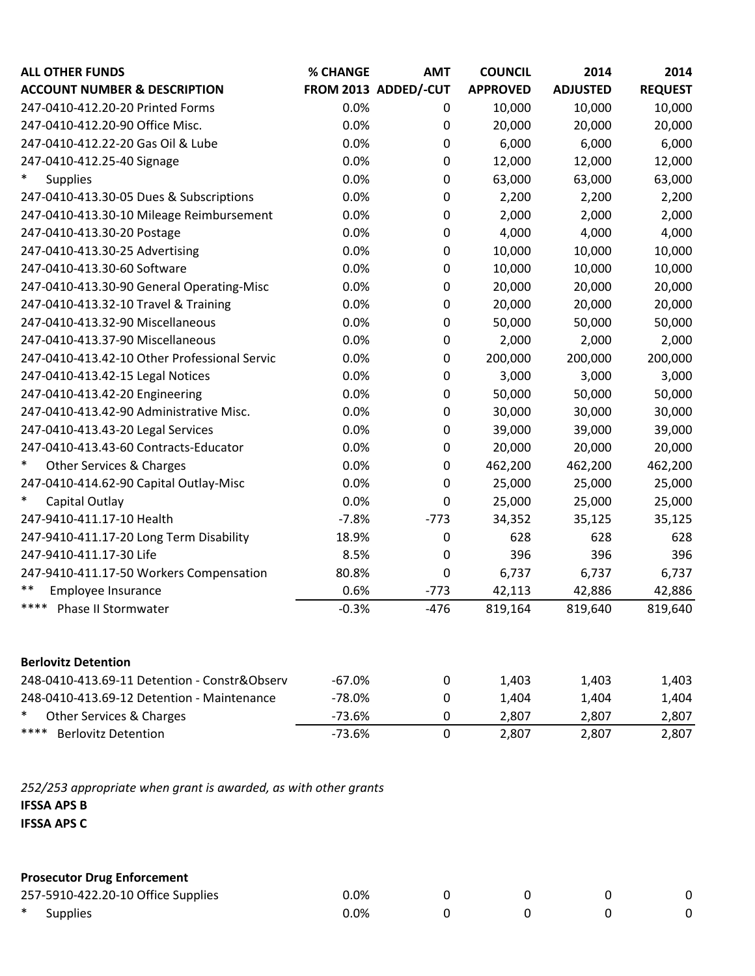| <b>ALL OTHER FUNDS</b>                       | % CHANGE | <b>AMT</b>           | <b>COUNCIL</b>  | 2014            | 2014           |
|----------------------------------------------|----------|----------------------|-----------------|-----------------|----------------|
| <b>ACCOUNT NUMBER &amp; DESCRIPTION</b>      |          | FROM 2013 ADDED/-CUT | <b>APPROVED</b> | <b>ADJUSTED</b> | <b>REQUEST</b> |
| 247-0410-412.20-20 Printed Forms             | 0.0%     | 0                    | 10,000          | 10,000          | 10,000         |
| 247-0410-412.20-90 Office Misc.              | 0.0%     | 0                    | 20,000          | 20,000          | 20,000         |
| 247-0410-412.22-20 Gas Oil & Lube            | 0.0%     | 0                    | 6,000           | 6,000           | 6,000          |
| 247-0410-412.25-40 Signage                   | 0.0%     | 0                    | 12,000          | 12,000          | 12,000         |
| $\ast$<br><b>Supplies</b>                    | 0.0%     | 0                    | 63,000          | 63,000          | 63,000         |
| 247-0410-413.30-05 Dues & Subscriptions      | 0.0%     | 0                    | 2,200           | 2,200           | 2,200          |
| 247-0410-413.30-10 Mileage Reimbursement     | 0.0%     | 0                    | 2,000           | 2,000           | 2,000          |
| 247-0410-413.30-20 Postage                   | 0.0%     | 0                    | 4,000           | 4,000           | 4,000          |
| 247-0410-413.30-25 Advertising               | 0.0%     | 0                    | 10,000          | 10,000          | 10,000         |
| 247-0410-413.30-60 Software                  | 0.0%     | 0                    | 10,000          | 10,000          | 10,000         |
| 247-0410-413.30-90 General Operating-Misc    | 0.0%     | 0                    | 20,000          | 20,000          | 20,000         |
| 247-0410-413.32-10 Travel & Training         | 0.0%     | 0                    | 20,000          | 20,000          | 20,000         |
| 247-0410-413.32-90 Miscellaneous             | 0.0%     | 0                    | 50,000          | 50,000          | 50,000         |
| 247-0410-413.37-90 Miscellaneous             | 0.0%     | 0                    | 2,000           | 2,000           | 2,000          |
| 247-0410-413.42-10 Other Professional Servic | 0.0%     | 0                    | 200,000         | 200,000         | 200,000        |
| 247-0410-413.42-15 Legal Notices             | 0.0%     | 0                    | 3,000           | 3,000           | 3,000          |
| 247-0410-413.42-20 Engineering               | 0.0%     | 0                    | 50,000          | 50,000          | 50,000         |
| 247-0410-413.42-90 Administrative Misc.      | 0.0%     | 0                    | 30,000          | 30,000          | 30,000         |
| 247-0410-413.43-20 Legal Services            | 0.0%     | 0                    | 39,000          | 39,000          | 39,000         |
| 247-0410-413.43-60 Contracts-Educator        | 0.0%     | 0                    | 20,000          | 20,000          | 20,000         |
| $\ast$<br>Other Services & Charges           | 0.0%     | $\pmb{0}$            | 462,200         | 462,200         | 462,200        |
| 247-0410-414.62-90 Capital Outlay-Misc       | 0.0%     | 0                    | 25,000          | 25,000          | 25,000         |
| $\ast$<br>Capital Outlay                     | 0.0%     | 0                    | 25,000          | 25,000          | 25,000         |
| 247-9410-411.17-10 Health                    | $-7.8%$  | $-773$               | 34,352          | 35,125          | 35,125         |
| 247-9410-411.17-20 Long Term Disability      | 18.9%    | 0                    | 628             | 628             | 628            |
| 247-9410-411.17-30 Life                      | 8.5%     | 0                    | 396             | 396             | 396            |
| 247-9410-411.17-50 Workers Compensation      | 80.8%    | 0                    | 6,737           | 6,737           | 6,737          |
| $***$<br>Employee Insurance                  | 0.6%     | $-773$               | 42,113          | 42,886          | 42,886         |
| ****<br>Phase II Stormwater                  | $-0.3%$  | $-476$               | 819,164         | 819,640         | 819,640        |
|                                              |          |                      |                 |                 |                |
| <b>Berlovitz Detention</b>                   |          |                      |                 |                 |                |
| 248-0410-413.69-11 Detention - Constr&Observ | $-67.0%$ | 0                    | 1,403           | 1,403           | 1,403          |
| 248-0410-413.69-12 Detention - Maintenance   | $-78.0%$ | 0                    | 1,404           | 1,404           | 1,404          |
| *<br>Other Services & Charges                | $-73.6%$ | 0                    | 2,807           | 2,807           | 2,807          |
| ****<br><b>Berlovitz Detention</b>           | $-73.6%$ | $\mathbf 0$          | 2,807           | 2,807           | 2,807          |
|                                              |          |                      |                 |                 |                |

*252/253 appropriate when grant is awarded, as with other grants* **IFSSA APS B IFSSA APS C**

## **Prosecutor Drug Enforcement**

|        | 257-5910-422.20-10 Office Supplies | 0.0% |  |  |
|--------|------------------------------------|------|--|--|
| $\ast$ | <b>Supplies</b>                    | 0.0% |  |  |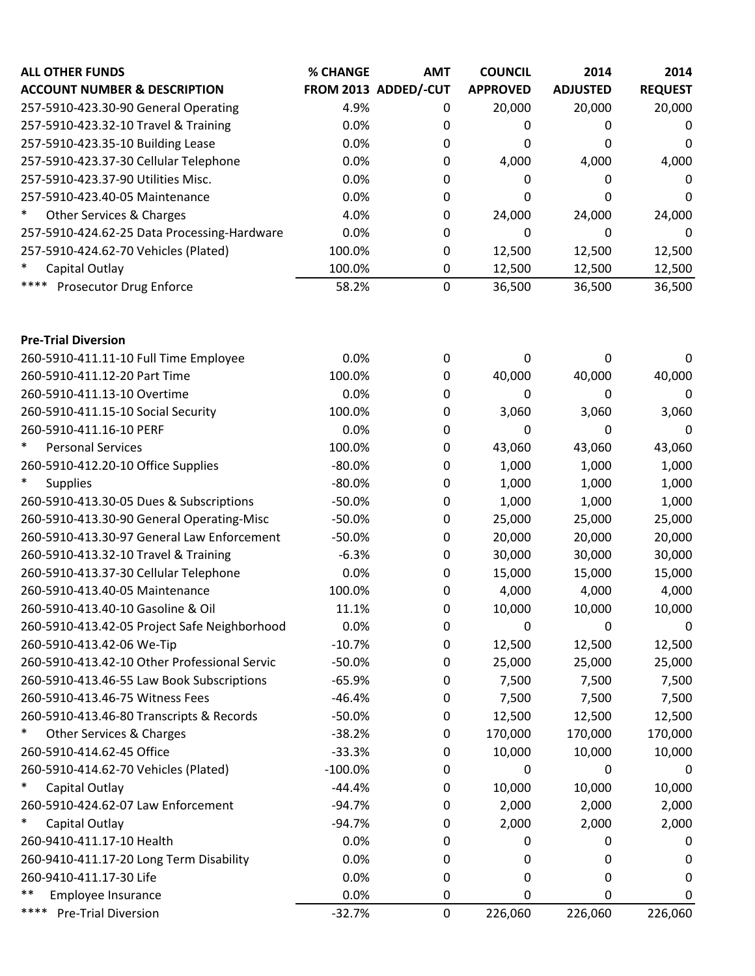| <b>ALL OTHER FUNDS</b>                        | % CHANGE | <b>AMT</b>           | <b>COUNCIL</b>  | 2014            | 2014           |
|-----------------------------------------------|----------|----------------------|-----------------|-----------------|----------------|
| <b>ACCOUNT NUMBER &amp; DESCRIPTION</b>       |          | FROM 2013 ADDED/-CUT | <b>APPROVED</b> | <b>ADJUSTED</b> | <b>REQUEST</b> |
| 257-5910-423.30-90 General Operating          | 4.9%     | 0                    | 20,000          | 20,000          | 20,000         |
| 257-5910-423.32-10 Travel & Training          | 0.0%     | 0                    | 0               | 0               | 0              |
| 257-5910-423.35-10 Building Lease             | 0.0%     | 0                    | 0               | O               | 0              |
| 257-5910-423.37-30 Cellular Telephone         | 0.0%     | 0                    | 4,000           | 4,000           | 4,000          |
| 257-5910-423.37-90 Utilities Misc.            | 0.0%     | 0                    | 0               |                 | $\Omega$       |
| 257-5910-423.40-05 Maintenance                | 0.0%     | 0                    | 0               |                 | $\Omega$       |
| $\ast$<br><b>Other Services &amp; Charges</b> | 4.0%     | 0                    | 24,000          | 24,000          | 24,000         |
| 257-5910-424.62-25 Data Processing-Hardware   | 0.0%     | $\Omega$             | 0               |                 | $\Omega$       |
| 257-5910-424.62-70 Vehicles (Plated)          | 100.0%   | 0                    | 12,500          | 12,500          | 12,500         |
| $\ast$<br>Capital Outlay                      | 100.0%   | 0                    | 12,500          | 12,500          | 12,500         |
| **** Prosecutor Drug Enforce                  | 58.2%    | 0                    | 36,500          | 36,500          | 36,500         |
|                                               |          |                      |                 |                 |                |

| <b>Pre-Trial Diversion</b>                   |           |                  |         |             |             |
|----------------------------------------------|-----------|------------------|---------|-------------|-------------|
| 260-5910-411.11-10 Full Time Employee        | 0.0%      | $\mathbf 0$      | 0       | 0           | $\mathbf 0$ |
| 260-5910-411.12-20 Part Time                 | 100.0%    | $\mathbf 0$      | 40,000  | 40,000      | 40,000      |
| 260-5910-411.13-10 Overtime                  | 0.0%      | $\boldsymbol{0}$ | 0       | 0           | $\mathbf 0$ |
| 260-5910-411.15-10 Social Security           | 100.0%    | $\mathbf 0$      | 3,060   | 3,060       | 3,060       |
| 260-5910-411.16-10 PERF                      | 0.0%      | $\mathbf 0$      | 0       | $\mathbf 0$ | 0           |
| $\ast$<br><b>Personal Services</b>           | 100.0%    | $\mathbf 0$      | 43,060  | 43,060      | 43,060      |
| 260-5910-412.20-10 Office Supplies           | $-80.0%$  | $\mathbf 0$      | 1,000   | 1,000       | 1,000       |
| $\ast$<br><b>Supplies</b>                    | $-80.0%$  | $\mathbf 0$      | 1,000   | 1,000       | 1,000       |
| 260-5910-413.30-05 Dues & Subscriptions      | $-50.0%$  | $\mathbf 0$      | 1,000   | 1,000       | 1,000       |
| 260-5910-413.30-90 General Operating-Misc    | $-50.0%$  | $\boldsymbol{0}$ | 25,000  | 25,000      | 25,000      |
| 260-5910-413.30-97 General Law Enforcement   | $-50.0%$  | 0                | 20,000  | 20,000      | 20,000      |
| 260-5910-413.32-10 Travel & Training         | $-6.3%$   | 0                | 30,000  | 30,000      | 30,000      |
| 260-5910-413.37-30 Cellular Telephone        | 0.0%      | $\mathbf 0$      | 15,000  | 15,000      | 15,000      |
| 260-5910-413.40-05 Maintenance               | 100.0%    | $\mathbf 0$      | 4,000   | 4,000       | 4,000       |
| 260-5910-413.40-10 Gasoline & Oil            | 11.1%     | $\mathbf 0$      | 10,000  | 10,000      | 10,000      |
| 260-5910-413.42-05 Project Safe Neighborhood | 0.0%      | 0                | 0       | 0           | 0           |
| 260-5910-413.42-06 We-Tip                    | $-10.7%$  | $\mathbf 0$      | 12,500  | 12,500      | 12,500      |
| 260-5910-413.42-10 Other Professional Servic | $-50.0%$  | $\mathbf 0$      | 25,000  | 25,000      | 25,000      |
| 260-5910-413.46-55 Law Book Subscriptions    | $-65.9%$  | $\boldsymbol{0}$ | 7,500   | 7,500       | 7,500       |
| 260-5910-413.46-75 Witness Fees              | $-46.4%$  | $\mathbf 0$      | 7,500   | 7,500       | 7,500       |
| 260-5910-413.46-80 Transcripts & Records     | $-50.0%$  | $\mathbf 0$      | 12,500  | 12,500      | 12,500      |
| $\ast$<br>Other Services & Charges           | $-38.2%$  | 0                | 170,000 | 170,000     | 170,000     |
| 260-5910-414.62-45 Office                    | $-33.3%$  | $\boldsymbol{0}$ | 10,000  | 10,000      | 10,000      |
| 260-5910-414.62-70 Vehicles (Plated)         | $-100.0%$ | $\mathbf 0$      | 0       | 0           | 0           |
| ∗<br>Capital Outlay                          | $-44.4%$  | $\mathbf 0$      | 10,000  | 10,000      | 10,000      |
| 260-5910-424.62-07 Law Enforcement           | $-94.7%$  | $\mathbf 0$      | 2,000   | 2,000       | 2,000       |
| $\ast$<br>Capital Outlay                     | $-94.7%$  | 0                | 2,000   | 2,000       | 2,000       |
| 260-9410-411.17-10 Health                    | 0.0%      | 0                | 0       | 0           | 0           |
| 260-9410-411.17-20 Long Term Disability      | 0.0%      | 0                | 0       | 0           | 0           |
| 260-9410-411.17-30 Life                      | 0.0%      | 0                | 0       | 0           | 0           |
| $***$<br>Employee Insurance                  | 0.0%      | $\mathbf 0$      | 0       | 0           | $\mathbf 0$ |
| **** Pre-Trial Diversion                     | $-32.7%$  | $\mathbf 0$      | 226,060 | 226,060     | 226,060     |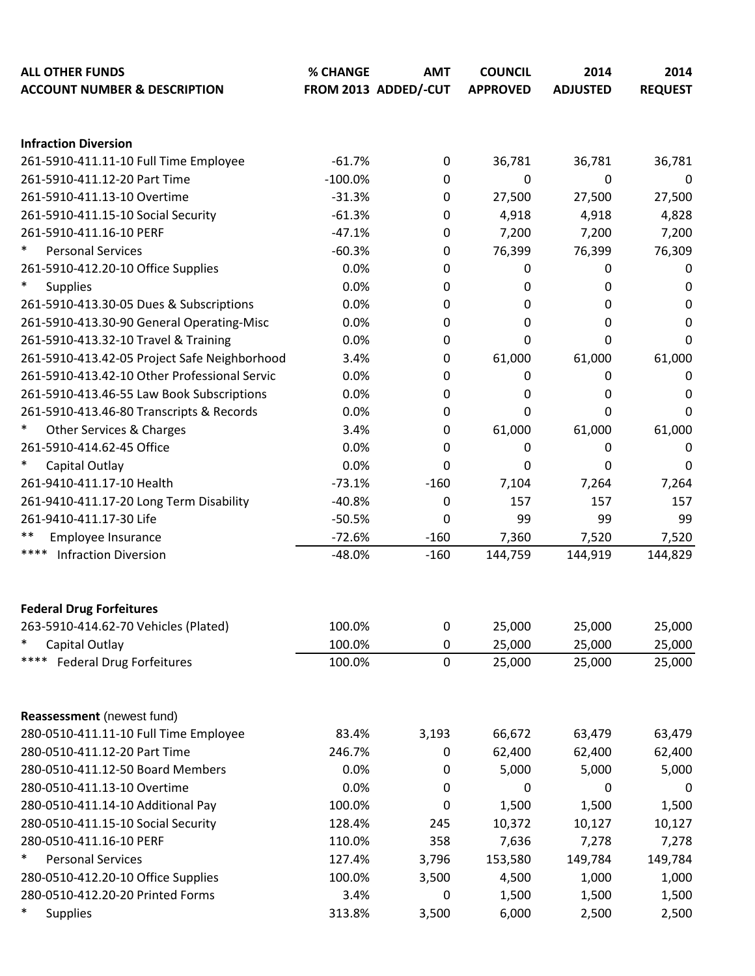| <b>ALL OTHER FUNDS</b><br><b>ACCOUNT NUMBER &amp; DESCRIPTION</b> | % CHANGE  | <b>AMT</b><br>FROM 2013 ADDED/-CUT | <b>COUNCIL</b><br><b>APPROVED</b> | 2014<br><b>ADJUSTED</b> | 2014<br><b>REQUEST</b> |
|-------------------------------------------------------------------|-----------|------------------------------------|-----------------------------------|-------------------------|------------------------|
|                                                                   |           |                                    |                                   |                         |                        |
| <b>Infraction Diversion</b>                                       |           |                                    |                                   |                         |                        |
| 261-5910-411.11-10 Full Time Employee                             | $-61.7%$  | 0                                  | 36,781                            | 36,781                  | 36,781                 |
| 261-5910-411.12-20 Part Time                                      | $-100.0%$ | 0                                  | 0                                 | 0                       | 0                      |
| 261-5910-411.13-10 Overtime                                       | $-31.3%$  | 0                                  | 27,500                            | 27,500                  | 27,500                 |
| 261-5910-411.15-10 Social Security                                | $-61.3%$  | 0                                  | 4,918                             | 4,918                   | 4,828                  |
| 261-5910-411.16-10 PERF                                           | $-47.1%$  | 0                                  | 7,200                             | 7,200                   | 7,200                  |
| $\ast$<br><b>Personal Services</b>                                | $-60.3%$  | 0                                  | 76,399                            | 76,399                  | 76,309                 |
| 261-5910-412.20-10 Office Supplies                                | 0.0%      | 0                                  | 0                                 | 0                       | 0                      |
| $\ast$<br><b>Supplies</b>                                         | 0.0%      | 0                                  | 0                                 | 0                       | 0                      |
| 261-5910-413.30-05 Dues & Subscriptions                           | 0.0%      | 0                                  | 0                                 | 0                       | 0                      |
| 261-5910-413.30-90 General Operating-Misc                         | 0.0%      | 0                                  | 0                                 | $\Omega$                | 0                      |
| 261-5910-413.32-10 Travel & Training                              | 0.0%      | 0                                  | 0                                 | 0                       | 0                      |
| 261-5910-413.42-05 Project Safe Neighborhood                      | 3.4%      | 0                                  | 61,000                            | 61,000                  | 61,000                 |
| 261-5910-413.42-10 Other Professional Servic                      | 0.0%      | 0                                  | 0                                 | 0                       | 0                      |
| 261-5910-413.46-55 Law Book Subscriptions                         | 0.0%      | 0                                  | 0                                 | 0                       | 0                      |
| 261-5910-413.46-80 Transcripts & Records                          | 0.0%      | 0                                  | 0                                 | 0                       | 0                      |
| $\ast$<br>Other Services & Charges                                | 3.4%      | 0                                  | 61,000                            | 61,000                  | 61,000                 |
| 261-5910-414.62-45 Office                                         | 0.0%      | 0                                  | 0                                 | 0                       | 0                      |
| $\ast$<br>Capital Outlay                                          | 0.0%      | 0                                  | 0                                 | 0                       | 0                      |
| 261-9410-411.17-10 Health                                         | $-73.1%$  | $-160$                             | 7,104                             | 7,264                   | 7,264                  |
| 261-9410-411.17-20 Long Term Disability                           | $-40.8%$  | 0                                  | 157                               | 157                     | 157                    |
| 261-9410-411.17-30 Life                                           | $-50.5%$  | 0                                  | 99                                | 99                      | 99                     |
| **<br>Employee Insurance                                          | $-72.6%$  | $-160$                             | 7,360                             | 7,520                   | 7,520                  |
| ****<br><b>Infraction Diversion</b>                               | $-48.0%$  | $-160$                             | 144,759                           | 144,919                 | 144,829                |
|                                                                   |           |                                    |                                   |                         |                        |
| <b>Federal Drug Forfeitures</b>                                   |           |                                    |                                   |                         |                        |
| 263-5910-414.62-70 Vehicles (Plated)                              | 100.0%    | 0                                  | 25,000                            | 25,000                  | 25,000                 |
| $\ast$<br>Capital Outlay                                          | 100.0%    | 0                                  | 25,000                            | 25,000                  | 25,000                 |
| ****<br><b>Federal Drug Forfeitures</b>                           | 100.0%    | $\mathbf 0$                        | 25,000                            | 25,000                  | 25,000                 |
| Reassessment (newest fund)                                        |           |                                    |                                   |                         |                        |
| 280-0510-411.11-10 Full Time Employee                             | 83.4%     | 3,193                              | 66,672                            | 63,479                  | 63,479                 |
| 280-0510-411.12-20 Part Time                                      | 246.7%    |                                    | 62,400                            |                         |                        |
| 280-0510-411.12-50 Board Members                                  | 0.0%      | 0                                  | 5,000                             | 62,400<br>5,000         | 62,400                 |
| 280-0510-411.13-10 Overtime                                       | 0.0%      | 0<br>0                             | 0                                 | 0                       | 5,000                  |
|                                                                   |           |                                    |                                   |                         | 0                      |
| 280-0510-411.14-10 Additional Pay                                 | 100.0%    | 0                                  | 1,500                             | 1,500                   | 1,500                  |
| 280-0510-411.15-10 Social Security                                | 128.4%    | 245                                | 10,372                            | 10,127                  | 10,127                 |
| 280-0510-411.16-10 PERF<br>$\ast$                                 | 110.0%    | 358                                | 7,636                             | 7,278                   | 7,278                  |
| <b>Personal Services</b>                                          | 127.4%    | 3,796                              | 153,580                           | 149,784                 | 149,784                |
| 280-0510-412.20-10 Office Supplies                                | 100.0%    | 3,500                              | 4,500                             | 1,000                   | 1,000                  |
| 280-0510-412.20-20 Printed Forms<br>$\ast$                        | 3.4%      | 0                                  | 1,500                             | 1,500                   | 1,500                  |
| <b>Supplies</b>                                                   | 313.8%    | 3,500                              | 6,000                             | 2,500                   | 2,500                  |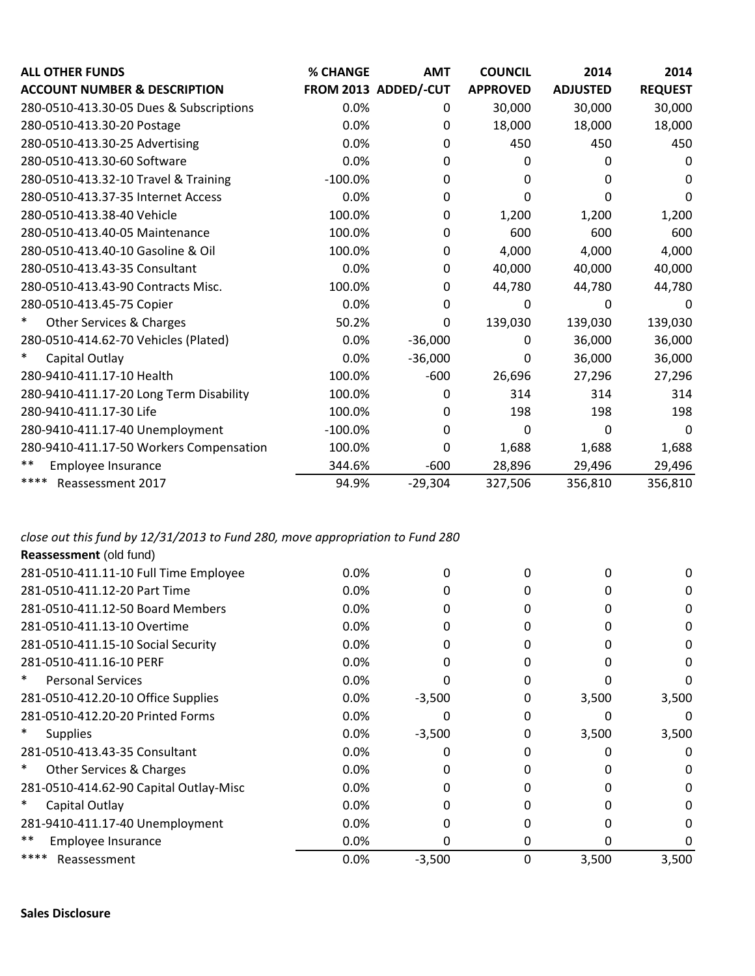| <b>ALL OTHER FUNDS</b>                        | % CHANGE  | <b>AMT</b>           | <b>COUNCIL</b>  | 2014            | 2014           |
|-----------------------------------------------|-----------|----------------------|-----------------|-----------------|----------------|
| <b>ACCOUNT NUMBER &amp; DESCRIPTION</b>       |           | FROM 2013 ADDED/-CUT | <b>APPROVED</b> | <b>ADJUSTED</b> | <b>REQUEST</b> |
| 280-0510-413.30-05 Dues & Subscriptions       | 0.0%      | $\mathbf{0}$         | 30,000          | 30,000          | 30,000         |
| 280-0510-413.30-20 Postage                    | 0.0%      | 0                    | 18,000          | 18,000          | 18,000         |
| 280-0510-413.30-25 Advertising                | 0.0%      | 0                    | 450             | 450             | 450            |
| 280-0510-413.30-60 Software                   | 0.0%      | 0                    | 0               | 0               | 0              |
| 280-0510-413.32-10 Travel & Training          | $-100.0%$ | 0                    | 0               | 0               | 0              |
| 280-0510-413.37-35 Internet Access            | 0.0%      | 0                    | 0               | 0               | 0              |
| 280-0510-413.38-40 Vehicle                    | 100.0%    | 0                    | 1,200           | 1,200           | 1,200          |
| 280-0510-413.40-05 Maintenance                | 100.0%    | 0                    | 600             | 600             | 600            |
| 280-0510-413.40-10 Gasoline & Oil             | 100.0%    | 0                    | 4,000           | 4,000           | 4,000          |
| 280-0510-413.43-35 Consultant                 | 0.0%      | 0                    | 40,000          | 40,000          | 40,000         |
| 280-0510-413.43-90 Contracts Misc.            | 100.0%    | 0                    | 44,780          | 44,780          | 44,780         |
| 280-0510-413.45-75 Copier                     | 0.0%      | 0                    | 0               | 0               | 0              |
| $\ast$<br><b>Other Services &amp; Charges</b> | 50.2%     | $\Omega$             | 139,030         | 139,030         | 139,030        |
| 280-0510-414.62-70 Vehicles (Plated)          | 0.0%      | $-36,000$            | 0               | 36,000          | 36,000         |
| Capital Outlay                                | 0.0%      | $-36,000$            | 0               | 36,000          | 36,000         |
| 280-9410-411.17-10 Health                     | 100.0%    | $-600$               | 26,696          | 27,296          | 27,296         |
| 280-9410-411.17-20 Long Term Disability       | 100.0%    | 0                    | 314             | 314             | 314            |
| 280-9410-411.17-30 Life                       | 100.0%    | $\Omega$             | 198             | 198             | 198            |
| 280-9410-411.17-40 Unemployment               | $-100.0%$ | $\mathbf{0}$         | 0               | 0               | $\Omega$       |
| 280-9410-411.17-50 Workers Compensation       | 100.0%    | 0                    | 1,688           | 1,688           | 1,688          |
| $***$<br>Employee Insurance                   | 344.6%    | $-600$               | 28,896          | 29,496          | 29,496         |
| ****<br>Reassessment 2017                     | 94.9%     | $-29,304$            | 327,506         | 356,810         | 356,810        |

*close out this fund by 12/31/2013 to Fund 280, move appropriation to Fund 280*

| Reassessment (old fund)                       |         |          |   |       |       |
|-----------------------------------------------|---------|----------|---|-------|-------|
| 281-0510-411.11-10 Full Time Employee         | $0.0\%$ | 0        |   |       |       |
| 281-0510-411.12-20 Part Time                  | 0.0%    |          |   |       |       |
| 281-0510-411.12-50 Board Members              | 0.0%    | 0        |   |       | O     |
| 281-0510-411.13-10 Overtime                   | 0.0%    |          |   |       | O     |
| 281-0510-411.15-10 Social Security            | $0.0\%$ |          |   |       | O     |
| 281-0510-411.16-10 PERF                       | 0.0%    |          |   |       |       |
| $\ast$<br><b>Personal Services</b>            | 0.0%    |          |   |       |       |
| 281-0510-412.20-10 Office Supplies            | 0.0%    | $-3,500$ | 0 | 3,500 | 3,500 |
| 281-0510-412.20-20 Printed Forms              | $0.0\%$ |          | O |       |       |
| $\ast$<br><b>Supplies</b>                     | 0.0%    | $-3,500$ | 0 | 3,500 | 3,500 |
| 281-0510-413.43-35 Consultant                 | 0.0%    |          |   |       |       |
| $\ast$<br><b>Other Services &amp; Charges</b> | 0.0%    | 0        |   |       |       |
| 281-0510-414.62-90 Capital Outlay-Misc        | 0.0%    | 0        | O |       | 0     |
| Capital Outlay                                | 0.0%    | 0        |   |       | 0     |
| 281-9410-411.17-40 Unemployment               | 0.0%    |          |   |       |       |
| **<br>Employee Insurance                      | 0.0%    | 0        | 0 |       |       |
| ****<br>Reassessment                          | 0.0%    | $-3,500$ | 0 | 3,500 | 3,500 |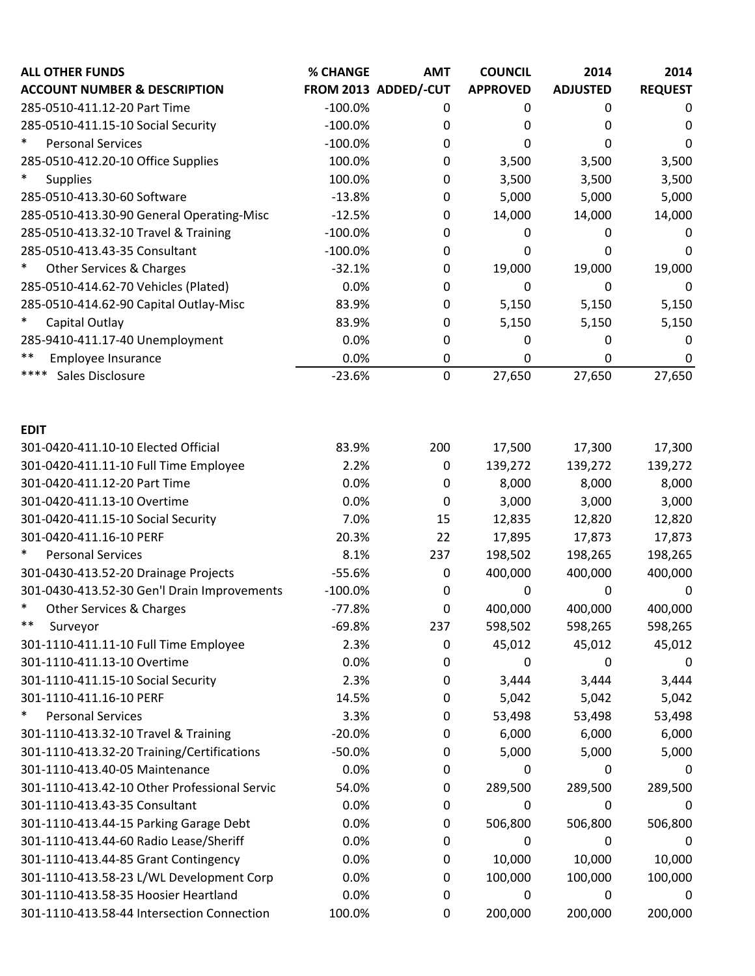| <b>ALL OTHER FUNDS</b>                        | % CHANGE  | <b>AMT</b>           | <b>COUNCIL</b>  | 2014            | 2014           |
|-----------------------------------------------|-----------|----------------------|-----------------|-----------------|----------------|
| <b>ACCOUNT NUMBER &amp; DESCRIPTION</b>       |           | FROM 2013 ADDED/-CUT | <b>APPROVED</b> | <b>ADJUSTED</b> | <b>REQUEST</b> |
| 285-0510-411.12-20 Part Time                  | $-100.0%$ | 0                    | 0               | 0               | 0              |
| 285-0510-411.15-10 Social Security            | $-100.0%$ | 0                    | 0               | 0               | 0              |
| $\ast$<br><b>Personal Services</b>            | $-100.0%$ | 0                    | 0               | 0               | 0              |
| 285-0510-412.20-10 Office Supplies            | 100.0%    | 0                    | 3,500           | 3,500           | 3,500          |
| $\ast$<br><b>Supplies</b>                     | 100.0%    | 0                    | 3,500           | 3,500           | 3,500          |
| 285-0510-413.30-60 Software                   | $-13.8%$  | 0                    | 5,000           | 5,000           | 5,000          |
| 285-0510-413.30-90 General Operating-Misc     | $-12.5%$  | 0                    | 14,000          | 14,000          | 14,000         |
| 285-0510-413.32-10 Travel & Training          | $-100.0%$ | 0                    | 0               | 0               | 0              |
| 285-0510-413.43-35 Consultant                 | $-100.0%$ | 0                    | 0               | 0               | 0              |
| $\ast$<br>Other Services & Charges            | $-32.1%$  | 0                    | 19,000          | 19,000          | 19,000         |
| 285-0510-414.62-70 Vehicles (Plated)          | 0.0%      | 0                    | 0               | 0               | 0              |
| 285-0510-414.62-90 Capital Outlay-Misc        | 83.9%     | 0                    | 5,150           | 5,150           | 5,150          |
| $\ast$<br>Capital Outlay                      | 83.9%     | 0                    | 5,150           | 5,150           | 5,150          |
| 285-9410-411.17-40 Unemployment               | 0.0%      | 0                    | 0               | 0               | 0              |
| $***$<br>Employee Insurance                   | 0.0%      | 0                    | 0               | 0               | 0              |
| ****<br>Sales Disclosure                      | $-23.6%$  | 0                    | 27,650          | 27,650          | 27,650         |
| <b>EDIT</b>                                   |           |                      |                 |                 |                |
| 301-0420-411.10-10 Elected Official           | 83.9%     | 200                  | 17,500          | 17,300          | 17,300         |
| 301-0420-411.11-10 Full Time Employee         | 2.2%      | $\mathbf 0$          | 139,272         | 139,272         | 139,272        |
| 301-0420-411.12-20 Part Time                  | 0.0%      | 0                    | 8,000           | 8,000           | 8,000          |
| 301-0420-411.13-10 Overtime                   | 0.0%      | 0                    | 3,000           | 3,000           | 3,000          |
| 301-0420-411.15-10 Social Security            | 7.0%      | 15                   | 12,835          | 12,820          | 12,820         |
| 301-0420-411.16-10 PERF                       | 20.3%     | 22                   | 17,895          | 17,873          | 17,873         |
| $\ast$<br><b>Personal Services</b>            | 8.1%      | 237                  | 198,502         | 198,265         | 198,265        |
| 301-0430-413.52-20 Drainage Projects          | $-55.6%$  | 0                    | 400,000         | 400,000         | 400,000        |
| 301-0430-413.52-30 Gen'l Drain Improvements   | $-100.0%$ | 0                    | 0               | 0               | 0              |
| $\ast$<br><b>Other Services &amp; Charges</b> | $-77.8%$  | 0                    | 400,000         | 400,000         | 400,000        |
| $***$<br>Surveyor                             | $-69.8%$  | 237                  | 598,502         | 598,265         | 598,265        |
| 301-1110-411.11-10 Full Time Employee         | 2.3%      | 0                    | 45,012          | 45,012          | 45,012         |
| 301-1110-411.13-10 Overtime                   | 0.0%      | 0                    | 0               | 0               | 0              |
| 301-1110-411.15-10 Social Security            | 2.3%      | 0                    | 3,444           | 3,444           | 3,444          |
| 301-1110-411.16-10 PERF                       | 14.5%     | 0                    | 5,042           | 5,042           | 5,042          |
| $\ast$<br><b>Personal Services</b>            | 3.3%      | 0                    | 53,498          | 53,498          | 53,498         |
| 301-1110-413.32-10 Travel & Training          | $-20.0%$  | 0                    | 6,000           | 6,000           | 6,000          |
| 301-1110-413.32-20 Training/Certifications    | $-50.0%$  | 0                    | 5,000           | 5,000           | 5,000          |
| 301-1110-413.40-05 Maintenance                | 0.0%      | 0                    | 0               | 0               | 0              |
| 301-1110-413.42-10 Other Professional Servic  | 54.0%     | 0                    | 289,500         | 289,500         | 289,500        |
| 301-1110-413.43-35 Consultant                 | 0.0%      | 0                    | 0               | 0               | 0              |
| 301-1110-413.44-15 Parking Garage Debt        | 0.0%      | 0                    | 506,800         | 506,800         | 506,800        |
| 301-1110-413.44-60 Radio Lease/Sheriff        | 0.0%      | 0                    | 0               | 0               | 0              |
| 301-1110-413.44-85 Grant Contingency          | 0.0%      | 0                    | 10,000          | 10,000          | 10,000         |
| 301-1110-413.58-23 L/WL Development Corp      | 0.0%      | 0                    | 100,000         | 100,000         | 100,000        |
| 301-1110-413.58-35 Hoosier Heartland          | 0.0%      | 0                    | 0               | 0               | 0              |
| 301-1110-413.58-44 Intersection Connection    | 100.0%    | 0                    | 200,000         | 200,000         | 200,000        |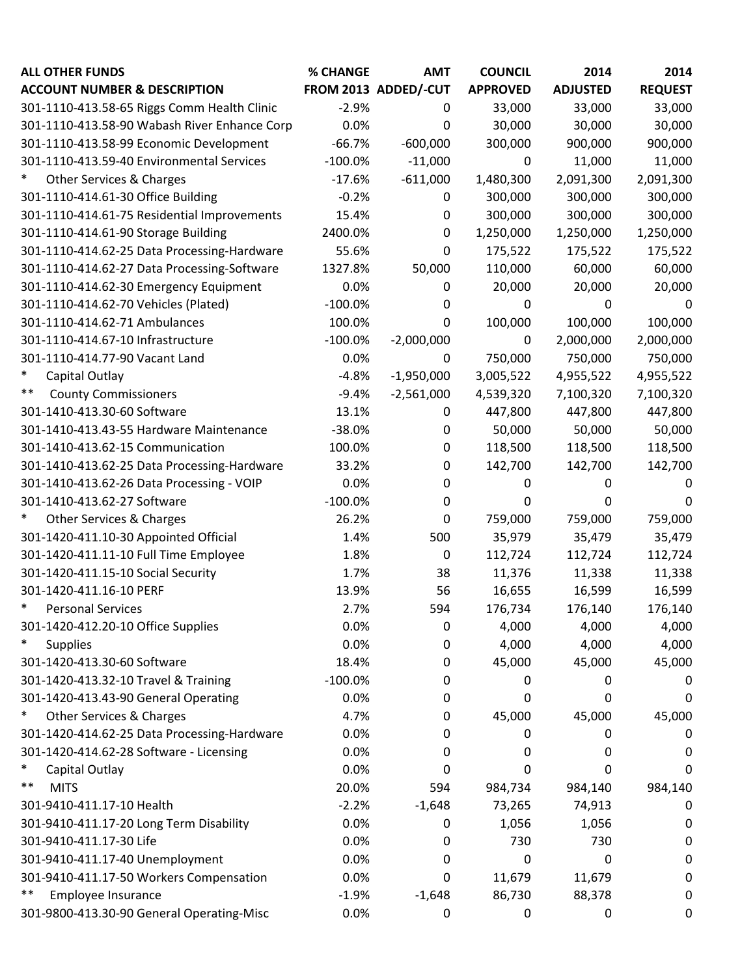| <b>ALL OTHER FUNDS</b>                        | % CHANGE  | <b>AMT</b>           | <b>COUNCIL</b>  | 2014            | 2014           |
|-----------------------------------------------|-----------|----------------------|-----------------|-----------------|----------------|
| <b>ACCOUNT NUMBER &amp; DESCRIPTION</b>       |           | FROM 2013 ADDED/-CUT | <b>APPROVED</b> | <b>ADJUSTED</b> | <b>REQUEST</b> |
| 301-1110-413.58-65 Riggs Comm Health Clinic   | $-2.9%$   | 0                    | 33,000          | 33,000          | 33,000         |
| 301-1110-413.58-90 Wabash River Enhance Corp  | 0.0%      | 0                    | 30,000          | 30,000          | 30,000         |
| 301-1110-413.58-99 Economic Development       | $-66.7%$  | $-600,000$           | 300,000         | 900,000         | 900,000        |
| 301-1110-413.59-40 Environmental Services     | $-100.0%$ | $-11,000$            | $\mathbf 0$     | 11,000          | 11,000         |
| $\ast$<br><b>Other Services &amp; Charges</b> | $-17.6%$  | $-611,000$           | 1,480,300       | 2,091,300       | 2,091,300      |
| 301-1110-414.61-30 Office Building            | $-0.2%$   | 0                    | 300,000         | 300,000         | 300,000        |
| 301-1110-414.61-75 Residential Improvements   | 15.4%     | 0                    | 300,000         | 300,000         | 300,000        |
| 301-1110-414.61-90 Storage Building           | 2400.0%   | 0                    | 1,250,000       | 1,250,000       | 1,250,000      |
| 301-1110-414.62-25 Data Processing-Hardware   | 55.6%     | $\mathbf 0$          | 175,522         | 175,522         | 175,522        |
| 301-1110-414.62-27 Data Processing-Software   | 1327.8%   | 50,000               | 110,000         | 60,000          | 60,000         |
| 301-1110-414.62-30 Emergency Equipment        | 0.0%      | 0                    | 20,000          | 20,000          | 20,000         |
| 301-1110-414.62-70 Vehicles (Plated)          | $-100.0%$ | 0                    | 0               | 0               | 0              |
| 301-1110-414.62-71 Ambulances                 | 100.0%    | 0                    | 100,000         | 100,000         | 100,000        |
| 301-1110-414.67-10 Infrastructure             | $-100.0%$ | $-2,000,000$         | 0               | 2,000,000       | 2,000,000      |
| 301-1110-414.77-90 Vacant Land                | 0.0%      | 0                    | 750,000         | 750,000         | 750,000        |
| $\ast$<br>Capital Outlay                      | $-4.8%$   | $-1,950,000$         | 3,005,522       | 4,955,522       | 4,955,522      |
| $***$<br><b>County Commissioners</b>          | $-9.4%$   | $-2,561,000$         | 4,539,320       | 7,100,320       | 7,100,320      |
| 301-1410-413.30-60 Software                   | 13.1%     | 0                    | 447,800         | 447,800         | 447,800        |
| 301-1410-413.43-55 Hardware Maintenance       | $-38.0%$  | $\mathbf 0$          | 50,000          | 50,000          | 50,000         |
| 301-1410-413.62-15 Communication              | 100.0%    | 0                    | 118,500         | 118,500         | 118,500        |
| 301-1410-413.62-25 Data Processing-Hardware   | 33.2%     | 0                    | 142,700         | 142,700         | 142,700        |
| 301-1410-413.62-26 Data Processing - VOIP     | 0.0%      | 0                    | 0               | 0               | 0              |
| 301-1410-413.62-27 Software                   | $-100.0%$ | 0                    | 0               | 0               | 0              |
| $\ast$<br><b>Other Services &amp; Charges</b> | 26.2%     | 0                    | 759,000         | 759,000         | 759,000        |
| 301-1420-411.10-30 Appointed Official         | 1.4%      | 500                  | 35,979          | 35,479          | 35,479         |
| 301-1420-411.11-10 Full Time Employee         | 1.8%      | $\mathbf 0$          | 112,724         | 112,724         | 112,724        |
| 301-1420-411.15-10 Social Security            | 1.7%      | 38                   | 11,376          | 11,338          | 11,338         |
| 301-1420-411.16-10 PERF                       | 13.9%     | 56                   | 16,655          | 16,599          | 16,599         |
| *<br><b>Personal Services</b>                 | 2.7%      | 594                  | 176,734         | 176,140         | 176,140        |
| 301-1420-412.20-10 Office Supplies            | 0.0%      | $\mathbf 0$          | 4,000           | 4,000           | 4,000          |
| $\ast$<br><b>Supplies</b>                     | 0.0%      | 0                    | 4,000           | 4,000           | 4,000          |
| 301-1420-413.30-60 Software                   | 18.4%     | 0                    | 45,000          | 45,000          | 45,000         |
| 301-1420-413.32-10 Travel & Training          | $-100.0%$ | 0                    | 0               | 0               |                |
| 301-1420-413.43-90 General Operating          | 0.0%      | 0                    | 0               | 0               | 0              |
| $\ast$<br>Other Services & Charges            | 4.7%      | 0                    | 45,000          | 45,000          | 45,000         |
| 301-1420-414.62-25 Data Processing-Hardware   | 0.0%      | 0                    | 0               | 0               | 0              |
| 301-1420-414.62-28 Software - Licensing       | 0.0%      | 0                    | 0               | 0               | 0              |
| $\ast$<br>Capital Outlay                      | 0.0%      | 0                    | 0               | 0               | 0              |
| $***$<br><b>MITS</b>                          | 20.0%     | 594                  | 984,734         | 984,140         | 984,140        |
| 301-9410-411.17-10 Health                     | $-2.2%$   | $-1,648$             | 73,265          | 74,913          | 0              |
| 301-9410-411.17-20 Long Term Disability       | 0.0%      | 0                    | 1,056           | 1,056           | 0              |
| 301-9410-411.17-30 Life                       | 0.0%      | 0                    | 730             | 730             | 0              |
| 301-9410-411.17-40 Unemployment               | 0.0%      | 0                    | 0               | 0               | O              |
| 301-9410-411.17-50 Workers Compensation       | 0.0%      | 0                    | 11,679          | 11,679          | 0              |
| $***$<br>Employee Insurance                   | $-1.9%$   | $-1,648$             | 86,730          | 88,378          | 0              |
| 301-9800-413.30-90 General Operating-Misc     | 0.0%      | 0                    | 0               | 0               | 0              |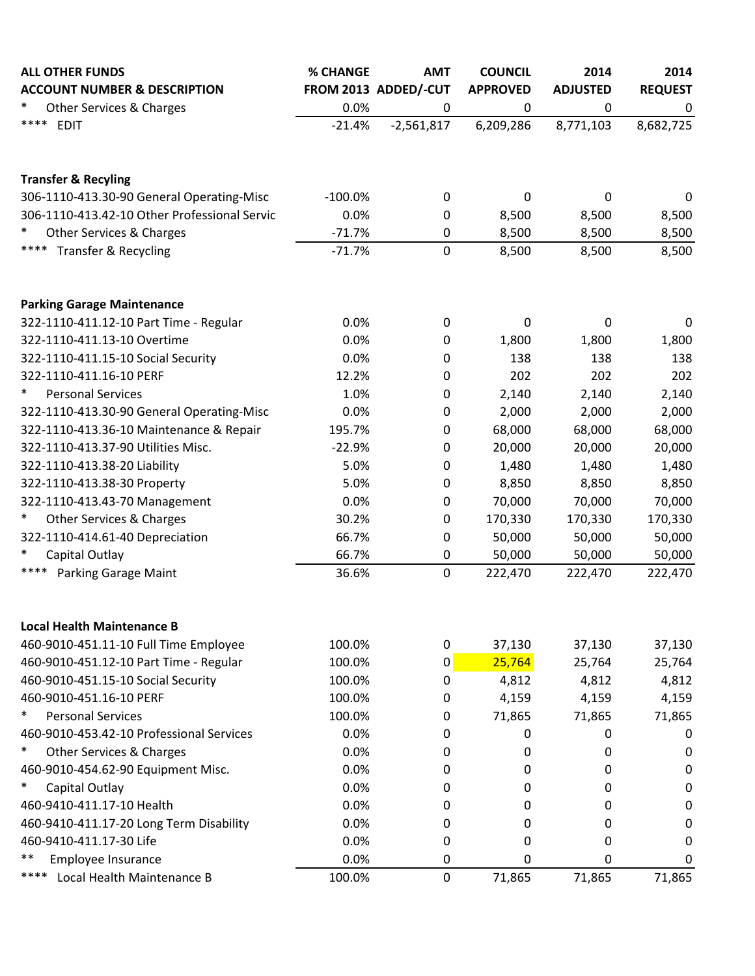| <b>ALL OTHER FUNDS</b>                       | % CHANGE  | <b>AMT</b>           | <b>COUNCIL</b>  | 2014            | 2014           |
|----------------------------------------------|-----------|----------------------|-----------------|-----------------|----------------|
| <b>ACCOUNT NUMBER &amp; DESCRIPTION</b>      |           | FROM 2013 ADDED/-CUT | <b>APPROVED</b> | <b>ADJUSTED</b> | <b>REQUEST</b> |
| $\ast$<br>Other Services & Charges           | 0.0%      | 0                    | 0               | 0               | 0              |
| ****<br><b>EDIT</b>                          | $-21.4%$  | $-2,561,817$         | 6,209,286       | 8,771,103       | 8,682,725      |
| <b>Transfer &amp; Recyling</b>               |           |                      |                 |                 |                |
| 306-1110-413.30-90 General Operating-Misc    | $-100.0%$ | 0                    | 0               | 0               | 0              |
| 306-1110-413.42-10 Other Professional Servic | 0.0%      | 0                    | 8,500           | 8,500           | 8,500          |
| $\ast$<br>Other Services & Charges           | $-71.7%$  | 0                    | 8,500           | 8,500           | 8,500          |
| ****<br><b>Transfer &amp; Recycling</b>      | $-71.7%$  | $\mathbf 0$          | 8,500           | 8,500           | 8,500          |
| <b>Parking Garage Maintenance</b>            |           |                      |                 |                 |                |
| 322-1110-411.12-10 Part Time - Regular       | 0.0%      | 0                    | 0               | 0               | 0              |
| 322-1110-411.13-10 Overtime                  | 0.0%      | $\pmb{0}$            | 1,800           | 1,800           | 1,800          |
| 322-1110-411.15-10 Social Security           | 0.0%      | 0                    | 138             | 138             | 138            |
| 322-1110-411.16-10 PERF                      | 12.2%     | 0                    | 202             | 202             | 202            |
| $\ast$<br><b>Personal Services</b>           | 1.0%      | 0                    | 2,140           | 2,140           | 2,140          |
| 322-1110-413.30-90 General Operating-Misc    | 0.0%      | 0                    | 2,000           | 2,000           | 2,000          |
| 322-1110-413.36-10 Maintenance & Repair      | 195.7%    | $\pmb{0}$            | 68,000          | 68,000          | 68,000         |
| 322-1110-413.37-90 Utilities Misc.           | $-22.9%$  | 0                    | 20,000          | 20,000          | 20,000         |
| 322-1110-413.38-20 Liability                 | 5.0%      | 0                    | 1,480           | 1,480           | 1,480          |
| 322-1110-413.38-30 Property                  | 5.0%      | 0                    | 8,850           | 8,850           | 8,850          |
| 322-1110-413.43-70 Management                | 0.0%      | 0                    | 70,000          | 70,000          | 70,000         |
| $\ast$<br>Other Services & Charges           | 30.2%     | $\pmb{0}$            | 170,330         | 170,330         | 170,330        |
| 322-1110-414.61-40 Depreciation              | 66.7%     | 0                    | 50,000          | 50,000          | 50,000         |
| $\ast$<br>Capital Outlay                     | 66.7%     | 0                    | 50,000          | 50,000          | 50,000         |
| ****<br>Parking Garage Maint                 | 36.6%     | $\pmb{0}$            | 222,470         | 222,470         | 222,470        |
| <b>Local Health Maintenance B</b>            |           |                      |                 |                 |                |
| 460-9010-451.11-10 Full Time Employee        | 100.0%    | 0                    | 37,130          | 37,130          | 37,130         |
| 460-9010-451.12-10 Part Time - Regular       | 100.0%    | 0                    | 25,764          | 25,764          | 25,764         |
| 460-9010-451.15-10 Social Security           | 100.0%    | 0                    | 4,812           | 4,812           | 4,812          |
| 460-9010-451.16-10 PERF                      | 100.0%    | 0                    | 4,159           | 4,159           | 4,159          |
| $\ast$<br><b>Personal Services</b>           | 100.0%    | 0                    | 71,865          | 71,865          | 71,865         |
| 460-9010-453.42-10 Professional Services     | 0.0%      | 0                    | 0               | 0               | 0              |
| $\ast$<br>Other Services & Charges           | 0.0%      | 0                    | 0               | 0               | 0              |
| 460-9010-454.62-90 Equipment Misc.           | 0.0%      | 0                    | 0               | 0               | 0              |
| $\ast$<br>Capital Outlay                     | 0.0%      | 0                    | 0               | 0               | O              |
| 460-9410-411.17-10 Health                    | 0.0%      | 0                    | 0               | 0               | 0              |
| 460-9410-411.17-20 Long Term Disability      | 0.0%      | 0                    | 0               | 0               | O              |
| 460-9410-411.17-30 Life                      | 0.0%      | 0                    | 0               | 0               | 0              |
| $***$<br>Employee Insurance                  | 0.0%      | 0                    | 0               | 0               | 0              |
| ****<br>Local Health Maintenance B           | 100.0%    | $\boldsymbol{0}$     | 71,865          | 71,865          | 71,865         |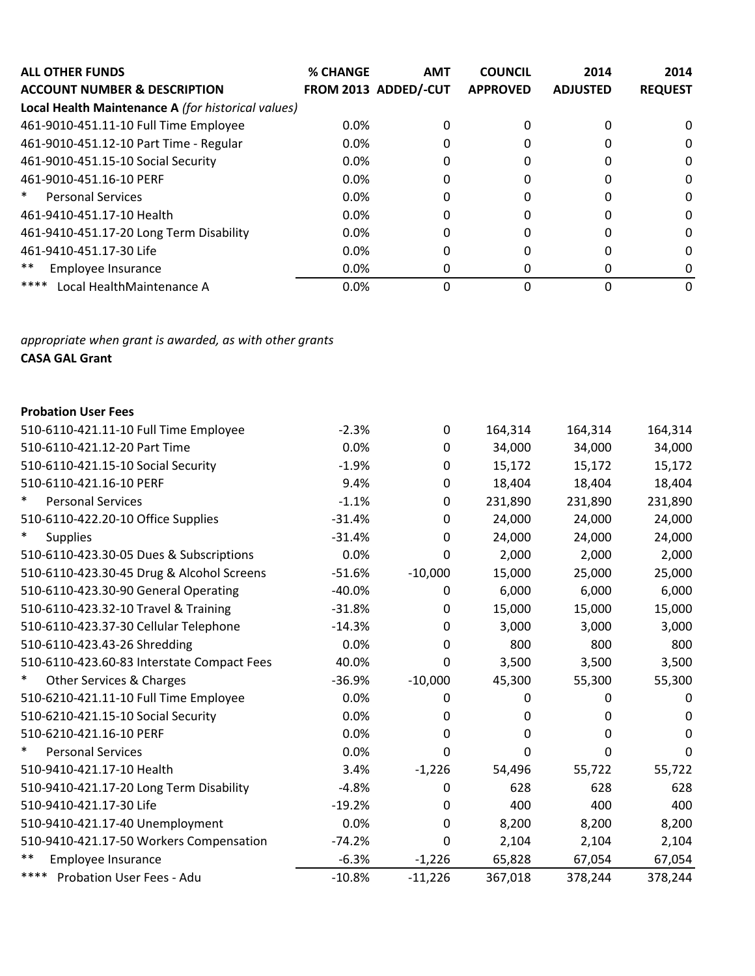| <b>ALL OTHER FUNDS</b><br><b>ACCOUNT NUMBER &amp; DESCRIPTION</b> | <b>% CHANGE</b> | <b>AMT</b><br>FROM 2013 ADDED/-CUT | <b>COUNCIL</b><br><b>APPROVED</b> | 2014<br><b>ADJUSTED</b> | 2014<br><b>REQUEST</b> |
|-------------------------------------------------------------------|-----------------|------------------------------------|-----------------------------------|-------------------------|------------------------|
| Local Health Maintenance A (for historical values)                |                 |                                    |                                   |                         |                        |
| 461-9010-451.11-10 Full Time Employee                             | 0.0%            | 0                                  | 0                                 | 0                       | 0                      |
| 461-9010-451.12-10 Part Time - Regular                            | 0.0%            | 0                                  | 0                                 |                         | 0                      |
| 461-9010-451.15-10 Social Security                                | 0.0%            | 0                                  | 0                                 |                         | 0                      |
| 461-9010-451.16-10 PERF                                           | 0.0%            | 0                                  | 0                                 | $\mathcal{L}$           | 0                      |
| $\ast$<br><b>Personal Services</b>                                | 0.0%            | 0                                  | 0                                 | $\Omega$                | 0                      |
| 461-9410-451.17-10 Health                                         | 0.0%            | 0                                  | 0                                 |                         | 0                      |
| 461-9410-451.17-20 Long Term Disability                           | 0.0%            | 0                                  | 0                                 |                         | 0                      |
| 461-9410-451.17-30 Life                                           | 0.0%            |                                    | 0                                 |                         | 0                      |
| **<br>Employee Insurance                                          | 0.0%            | 0                                  | 0                                 |                         | 0                      |
| ****<br>Local HealthMaintenance A                                 | 0.0%            |                                    | O                                 |                         | 0                      |

*appropriate when grant is awarded, as with other grants* **CASA GAL Grant**

## **Probation User Fees**

| 510-6110-421.11-10 Full Time Employee      | $-2.3%$  | 0         | 164,314 | 164,314  | 164,314  |
|--------------------------------------------|----------|-----------|---------|----------|----------|
| 510-6110-421.12-20 Part Time               | 0.0%     | 0         | 34,000  | 34,000   | 34,000   |
| 510-6110-421.15-10 Social Security         | $-1.9%$  | 0         | 15,172  | 15,172   | 15,172   |
| 510-6110-421.16-10 PERF                    | 9.4%     | 0         | 18,404  | 18,404   | 18,404   |
| $\ast$<br><b>Personal Services</b>         | $-1.1%$  | 0         | 231,890 | 231,890  | 231,890  |
| 510-6110-422.20-10 Office Supplies         | $-31.4%$ | $\Omega$  | 24,000  | 24,000   | 24,000   |
| $\ast$<br><b>Supplies</b>                  | $-31.4%$ | 0         | 24,000  | 24,000   | 24,000   |
| 510-6110-423.30-05 Dues & Subscriptions    | 0.0%     | $\Omega$  | 2,000   | 2,000    | 2,000    |
| 510-6110-423.30-45 Drug & Alcohol Screens  | $-51.6%$ | $-10,000$ | 15,000  | 25,000   | 25,000   |
| 510-6110-423.30-90 General Operating       | $-40.0%$ | 0         | 6,000   | 6,000    | 6,000    |
| 510-6110-423.32-10 Travel & Training       | $-31.8%$ | 0         | 15,000  | 15,000   | 15,000   |
| 510-6110-423.37-30 Cellular Telephone      | $-14.3%$ | 0         | 3,000   | 3,000    | 3,000    |
| 510-6110-423.43-26 Shredding               | 0.0%     | $\Omega$  | 800     | 800      | 800      |
| 510-6110-423.60-83 Interstate Compact Fees | 40.0%    | 0         | 3,500   | 3,500    | 3,500    |
| Other Services & Charges<br>$\ast$         | $-36.9%$ | $-10,000$ | 45,300  | 55,300   | 55,300   |
| 510-6210-421.11-10 Full Time Employee      | 0.0%     | 0         | 0       | 0        | 0        |
| 510-6210-421.15-10 Social Security         | 0.0%     | 0         | 0       | $\Omega$ | 0        |
| 510-6210-421.16-10 PERF                    | 0.0%     | 0         | 0       | $\Omega$ | $\Omega$ |
| $\ast$<br><b>Personal Services</b>         | 0.0%     | 0         | 0       | 0        | 0        |
| 510-9410-421.17-10 Health                  | 3.4%     | $-1,226$  | 54,496  | 55,722   | 55,722   |
| 510-9410-421.17-20 Long Term Disability    | $-4.8%$  | 0         | 628     | 628      | 628      |
| 510-9410-421.17-30 Life                    | $-19.2%$ | $\Omega$  | 400     | 400      | 400      |
| 510-9410-421.17-40 Unemployment            | 0.0%     | $\Omega$  | 8,200   | 8,200    | 8,200    |
| 510-9410-421.17-50 Workers Compensation    | $-74.2%$ | 0         | 2,104   | 2,104    | 2,104    |
| $***$<br>Employee Insurance                | $-6.3%$  | $-1,226$  | 65,828  | 67,054   | 67,054   |
| ****<br>Probation User Fees - Adu          | $-10.8%$ | $-11,226$ | 367,018 | 378,244  | 378,244  |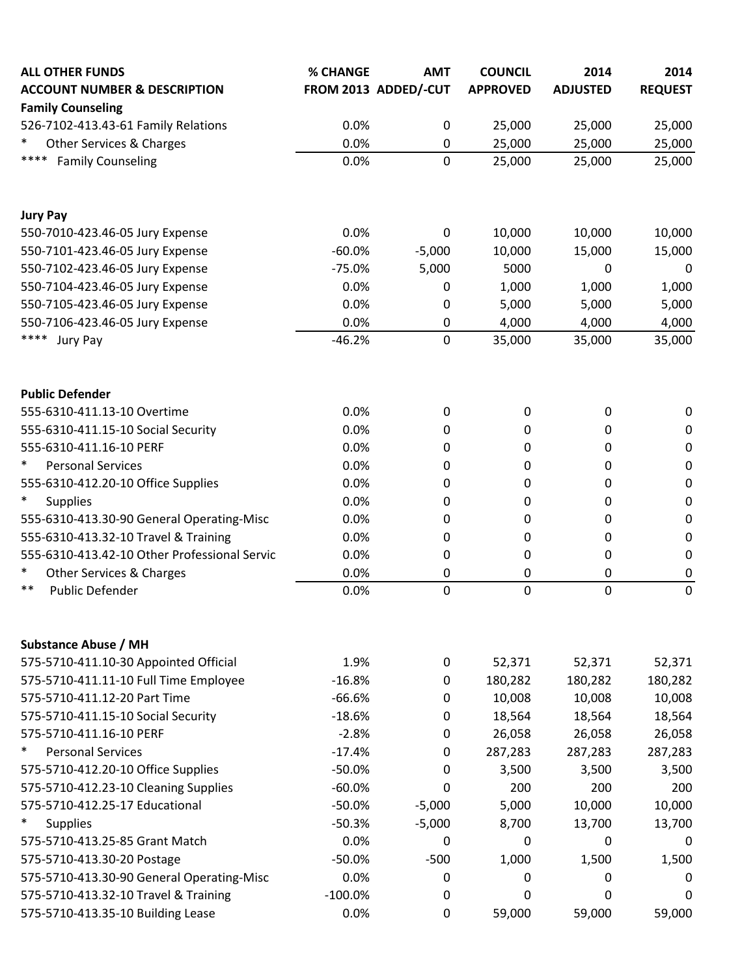| <b>ALL OTHER FUNDS</b>                       | % CHANGE  | <b>AMT</b>           | <b>COUNCIL</b>  | 2014            | 2014           |
|----------------------------------------------|-----------|----------------------|-----------------|-----------------|----------------|
| <b>ACCOUNT NUMBER &amp; DESCRIPTION</b>      |           | FROM 2013 ADDED/-CUT | <b>APPROVED</b> | <b>ADJUSTED</b> | <b>REQUEST</b> |
| <b>Family Counseling</b>                     |           |                      |                 |                 |                |
| 526-7102-413.43-61 Family Relations          | 0.0%      | $\boldsymbol{0}$     | 25,000          | 25,000          | 25,000         |
| Other Services & Charges                     | 0.0%      | 0                    | 25,000          | 25,000          | 25,000         |
| ****<br><b>Family Counseling</b>             | 0.0%      | 0                    | 25,000          | 25,000          | 25,000         |
| <b>Jury Pay</b>                              |           |                      |                 |                 |                |
| 550-7010-423.46-05 Jury Expense              | 0.0%      | 0                    | 10,000          | 10,000          | 10,000         |
| 550-7101-423.46-05 Jury Expense              | $-60.0%$  | $-5,000$             | 10,000          | 15,000          | 15,000         |
| 550-7102-423.46-05 Jury Expense              | $-75.0%$  | 5,000                | 5000            | 0               | 0              |
| 550-7104-423.46-05 Jury Expense              | 0.0%      | 0                    | 1,000           | 1,000           | 1,000          |
| 550-7105-423.46-05 Jury Expense              | 0.0%      | 0                    | 5,000           | 5,000           | 5,000          |
| 550-7106-423.46-05 Jury Expense              | 0.0%      | 0                    | 4,000           | 4,000           | 4,000          |
| ****<br>Jury Pay                             | $-46.2%$  | 0                    | 35,000          | 35,000          | 35,000         |
| <b>Public Defender</b>                       |           |                      |                 |                 |                |
| 555-6310-411.13-10 Overtime                  | 0.0%      | 0                    | 0               | 0               | 0              |
| 555-6310-411.15-10 Social Security           | 0.0%      | 0                    | 0               | 0               | 0              |
| 555-6310-411.16-10 PERF                      | 0.0%      | 0                    | 0               | 0               | 0              |
| $\ast$<br><b>Personal Services</b>           | 0.0%      | 0                    | 0               | $\Omega$        | 0              |
| 555-6310-412.20-10 Office Supplies           | 0.0%      | 0                    | 0               | 0               | 0              |
| *<br><b>Supplies</b>                         | 0.0%      | 0                    | 0               | 0               | 0              |
| 555-6310-413.30-90 General Operating-Misc    | 0.0%      | 0                    | 0               | 0               | 0              |
| 555-6310-413.32-10 Travel & Training         | 0.0%      | 0                    | 0               | 0               | 0              |
| 555-6310-413.42-10 Other Professional Servic | 0.0%      | 0                    | 0               | 0               | 0              |
| $\ast$<br>Other Services & Charges           | 0.0%      | 0                    | $\pmb{0}$       | 0               | 0              |
| $***$<br><b>Public Defender</b>              | 0.0%      | 0                    | 0               | $\mathbf 0$     | 0              |
| <b>Substance Abuse / MH</b>                  |           |                      |                 |                 |                |
| 575-5710-411.10-30 Appointed Official        | 1.9%      | 0                    | 52,371          | 52,371          | 52,371         |
| 575-5710-411.11-10 Full Time Employee        | $-16.8%$  | 0                    | 180,282         | 180,282         | 180,282        |
| 575-5710-411.12-20 Part Time                 | $-66.6%$  | 0                    | 10,008          | 10,008          | 10,008         |
| 575-5710-411.15-10 Social Security           | $-18.6%$  | 0                    | 18,564          | 18,564          | 18,564         |
| 575-5710-411.16-10 PERF                      | $-2.8%$   | 0                    | 26,058          | 26,058          | 26,058         |
| $\ast$<br><b>Personal Services</b>           | $-17.4%$  | 0                    | 287,283         | 287,283         | 287,283        |
| 575-5710-412.20-10 Office Supplies           | $-50.0%$  | 0                    | 3,500           | 3,500           | 3,500          |
| 575-5710-412.23-10 Cleaning Supplies         | $-60.0%$  | 0                    | 200             | 200             | 200            |
| 575-5710-412.25-17 Educational               | $-50.0%$  | $-5,000$             | 5,000           | 10,000          | 10,000         |
| $\ast$<br><b>Supplies</b>                    | $-50.3%$  | $-5,000$             | 8,700           | 13,700          | 13,700         |
| 575-5710-413.25-85 Grant Match               | 0.0%      | 0                    | 0               | 0               | 0              |
| 575-5710-413.30-20 Postage                   | $-50.0%$  | $-500$               | 1,000           | 1,500           | 1,500          |
| 575-5710-413.30-90 General Operating-Misc    | 0.0%      | 0                    | 0               | 0               | 0              |
| 575-5710-413.32-10 Travel & Training         | $-100.0%$ | 0                    | 0               | 0               | 0              |
| 575-5710-413.35-10 Building Lease            | 0.0%      | 0                    | 59,000          | 59,000          | 59,000         |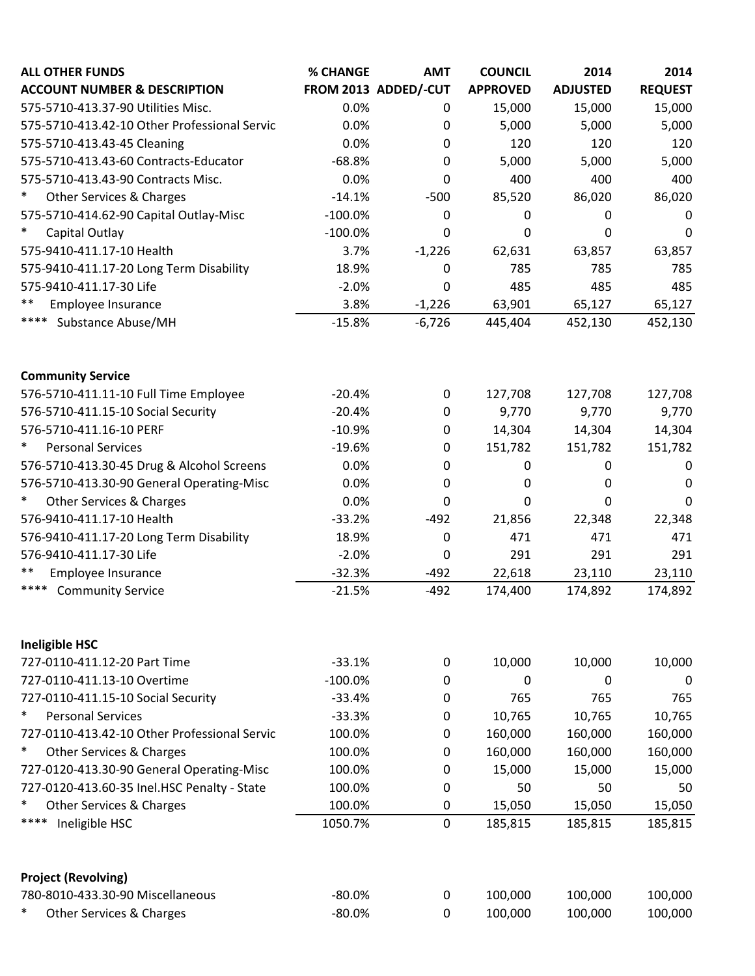| FROM 2013 ADDED/-CUT<br><b>ACCOUNT NUMBER &amp; DESCRIPTION</b><br><b>APPROVED</b><br><b>ADJUSTED</b><br><b>REQUEST</b><br>0.0%<br>15,000<br>15,000<br>575-5710-413.37-90 Utilities Misc.<br>0<br>575-5710-413.42-10 Other Professional Servic<br>0.0%<br>0<br>5,000<br>5,000<br>0.0%<br>$\mathbf 0$<br>120<br>120<br>575-5710-413.43-45 Cleaning<br>575-5710-413.43-60 Contracts-Educator<br>$-68.8%$<br>5,000<br>5,000<br>0 |         |
|-------------------------------------------------------------------------------------------------------------------------------------------------------------------------------------------------------------------------------------------------------------------------------------------------------------------------------------------------------------------------------------------------------------------------------|---------|
|                                                                                                                                                                                                                                                                                                                                                                                                                               |         |
|                                                                                                                                                                                                                                                                                                                                                                                                                               | 15,000  |
|                                                                                                                                                                                                                                                                                                                                                                                                                               | 5,000   |
|                                                                                                                                                                                                                                                                                                                                                                                                                               | 120     |
|                                                                                                                                                                                                                                                                                                                                                                                                                               | 5,000   |
| 0.0%<br>400<br>400<br>575-5710-413.43-90 Contracts Misc.<br>0                                                                                                                                                                                                                                                                                                                                                                 | 400     |
| $\ast$<br>85,520<br>Other Services & Charges<br>$-14.1%$<br>$-500$<br>86,020                                                                                                                                                                                                                                                                                                                                                  | 86,020  |
| 575-5710-414.62-90 Capital Outlay-Misc<br>$-100.0%$<br>0<br>0<br>0                                                                                                                                                                                                                                                                                                                                                            | 0       |
| $\ast$<br>Capital Outlay<br>$-100.0%$<br>0<br>0<br>0                                                                                                                                                                                                                                                                                                                                                                          | 0       |
| 575-9410-411.17-10 Health<br>3.7%<br>$-1,226$<br>62,631<br>63,857                                                                                                                                                                                                                                                                                                                                                             | 63,857  |
| 575-9410-411.17-20 Long Term Disability<br>785<br>785<br>18.9%<br>0                                                                                                                                                                                                                                                                                                                                                           | 785     |
| 575-9410-411.17-30 Life<br>$-2.0%$<br>485<br>485<br>0                                                                                                                                                                                                                                                                                                                                                                         | 485     |
| **<br>Employee Insurance<br>3.8%<br>$-1,226$<br>63,901<br>65,127                                                                                                                                                                                                                                                                                                                                                              | 65,127  |
| ****<br><b>Substance Abuse/MH</b><br>$-15.8%$<br>$-6,726$<br>445,404<br>452,130                                                                                                                                                                                                                                                                                                                                               | 452,130 |
| <b>Community Service</b>                                                                                                                                                                                                                                                                                                                                                                                                      |         |
| 576-5710-411.11-10 Full Time Employee<br>$-20.4%$<br>$\boldsymbol{0}$<br>127,708<br>127,708                                                                                                                                                                                                                                                                                                                                   | 127,708 |
| 576-5710-411.15-10 Social Security<br>9,770<br>9,770<br>$-20.4%$<br>0                                                                                                                                                                                                                                                                                                                                                         | 9,770   |
| 576-5710-411.16-10 PERF<br>$-10.9%$<br>14,304<br>14,304<br>0                                                                                                                                                                                                                                                                                                                                                                  | 14,304  |
| $\ast$<br><b>Personal Services</b><br>151,782<br>$-19.6%$<br>$\boldsymbol{0}$<br>151,782                                                                                                                                                                                                                                                                                                                                      | 151,782 |
| 576-5710-413.30-45 Drug & Alcohol Screens<br>0.0%<br>0<br>0<br>0                                                                                                                                                                                                                                                                                                                                                              | 0       |
| 576-5710-413.30-90 General Operating-Misc<br>0.0%<br>0<br>0<br>0                                                                                                                                                                                                                                                                                                                                                              | 0       |
| Other Services & Charges<br>0.0%<br>0<br>$\Omega$<br>0                                                                                                                                                                                                                                                                                                                                                                        | 0       |
| 576-9410-411.17-10 Health<br>$-33.2%$<br>$-492$<br>21,856<br>22,348                                                                                                                                                                                                                                                                                                                                                           | 22,348  |
| 576-9410-411.17-20 Long Term Disability<br>$\mathbf 0$<br>471<br>471<br>18.9%                                                                                                                                                                                                                                                                                                                                                 | 471     |
| 576-9410-411.17-30 Life<br>$-2.0%$<br>291<br>291<br>0                                                                                                                                                                                                                                                                                                                                                                         | 291     |
| **<br>$-32.3%$<br>22,618<br>Employee Insurance<br>$-492$<br>23,110                                                                                                                                                                                                                                                                                                                                                            | 23,110  |
| ****<br><b>Community Service</b><br>$-21.5%$<br>$-492$<br>174,400<br>174,892                                                                                                                                                                                                                                                                                                                                                  | 174,892 |
|                                                                                                                                                                                                                                                                                                                                                                                                                               |         |
| <b>Ineligible HSC</b>                                                                                                                                                                                                                                                                                                                                                                                                         |         |
| 10,000<br>10,000<br>727-0110-411.12-20 Part Time<br>$-33.1%$<br>$\mathbf 0$                                                                                                                                                                                                                                                                                                                                                   | 10,000  |
| $-100.0%$<br>727-0110-411.13-10 Overtime<br>0<br>0<br>0                                                                                                                                                                                                                                                                                                                                                                       | 0       |
| 765<br>765<br>727-0110-411.15-10 Social Security<br>$-33.4%$<br>0                                                                                                                                                                                                                                                                                                                                                             | 765     |
| $\ast$<br><b>Personal Services</b><br>10,765<br>$-33.3%$<br>10,765<br>0                                                                                                                                                                                                                                                                                                                                                       | 10,765  |
| 727-0110-413.42-10 Other Professional Servic<br>100.0%<br>160,000<br>160,000<br>0                                                                                                                                                                                                                                                                                                                                             | 160,000 |
| Other Services & Charges<br>100.0%<br>160,000<br>160,000<br>∗<br>0                                                                                                                                                                                                                                                                                                                                                            | 160,000 |
| 727-0120-413.30-90 General Operating-Misc<br>100.0%<br>15,000<br>15,000<br>0                                                                                                                                                                                                                                                                                                                                                  | 15,000  |
| 727-0120-413.60-35 Inel.HSC Penalty - State<br>100.0%<br>50<br>50<br>0                                                                                                                                                                                                                                                                                                                                                        | 50      |
| Other Services & Charges<br>100.0%<br>∗<br>15,050<br>15,050<br>0                                                                                                                                                                                                                                                                                                                                                              | 15,050  |
| ****<br>Ineligible HSC<br>1050.7%<br>$\mathbf 0$<br>185,815<br>185,815                                                                                                                                                                                                                                                                                                                                                        | 185,815 |
| <b>Project (Revolving)</b>                                                                                                                                                                                                                                                                                                                                                                                                    |         |
| 780-8010-433.30-90 Miscellaneous<br>100,000<br>100,000<br>$-80.0%$<br>0                                                                                                                                                                                                                                                                                                                                                       | 100,000 |
| $\ast$<br>Other Services & Charges<br>$-80.0%$<br>100,000<br>$\boldsymbol{0}$<br>100,000                                                                                                                                                                                                                                                                                                                                      | 100,000 |